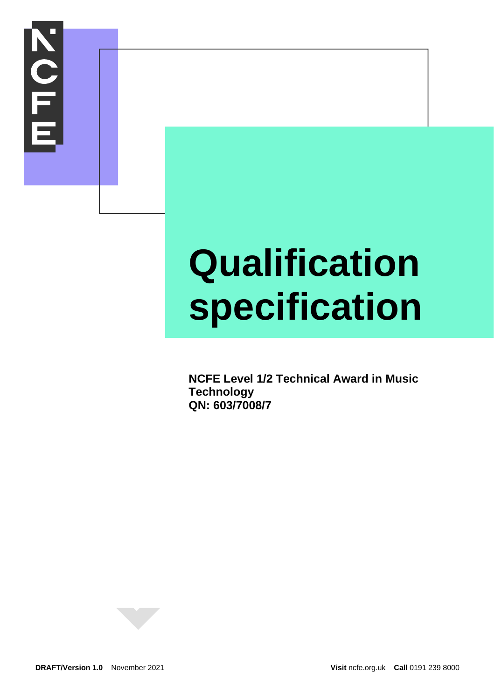

# **Qualification specification**

**NCFE Level 1/2 Technical Award in Music Technology QN: 603/7008/7**

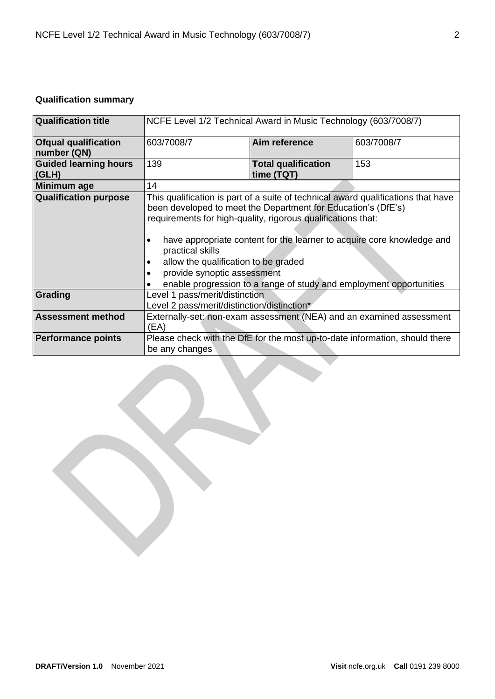# <span id="page-1-0"></span>**Qualification summary**

| <b>Qualification title</b>                 | NCFE Level 1/2 Technical Award in Music Technology (603/7008/7)                                                                                                                                                                                                                                                                                                                                                                                                                  |                                          |     |  |
|--------------------------------------------|----------------------------------------------------------------------------------------------------------------------------------------------------------------------------------------------------------------------------------------------------------------------------------------------------------------------------------------------------------------------------------------------------------------------------------------------------------------------------------|------------------------------------------|-----|--|
| <b>Ofqual qualification</b><br>number (QN) | 603/7008/7<br>Aim reference<br>603/7008/7                                                                                                                                                                                                                                                                                                                                                                                                                                        |                                          |     |  |
| <b>Guided learning hours</b><br>(GLH)      | 139                                                                                                                                                                                                                                                                                                                                                                                                                                                                              | <b>Total qualification</b><br>time (TQT) | 153 |  |
| <b>Minimum age</b>                         | 14                                                                                                                                                                                                                                                                                                                                                                                                                                                                               |                                          |     |  |
| <b>Qualification purpose</b>               | This qualification is part of a suite of technical award qualifications that have<br>been developed to meet the Department for Education's (DfE's)<br>requirements for high-quality, rigorous qualifications that:<br>have appropriate content for the learner to acquire core knowledge and<br>practical skills<br>allow the qualification to be graded<br>٠<br>provide synoptic assessment<br>$\bullet$<br>enable progression to a range of study and employment opportunities |                                          |     |  |
| Grading                                    | Level 1 pass/merit/distinction<br>Level 2 pass/merit/distinction/distinction*                                                                                                                                                                                                                                                                                                                                                                                                    |                                          |     |  |
| <b>Assessment method</b>                   | Externally-set: non-exam assessment (NEA) and an examined assessment<br>(EA)                                                                                                                                                                                                                                                                                                                                                                                                     |                                          |     |  |
| <b>Performance points</b>                  | Please check with the DfE for the most up-to-date information, should there<br>be any changes                                                                                                                                                                                                                                                                                                                                                                                    |                                          |     |  |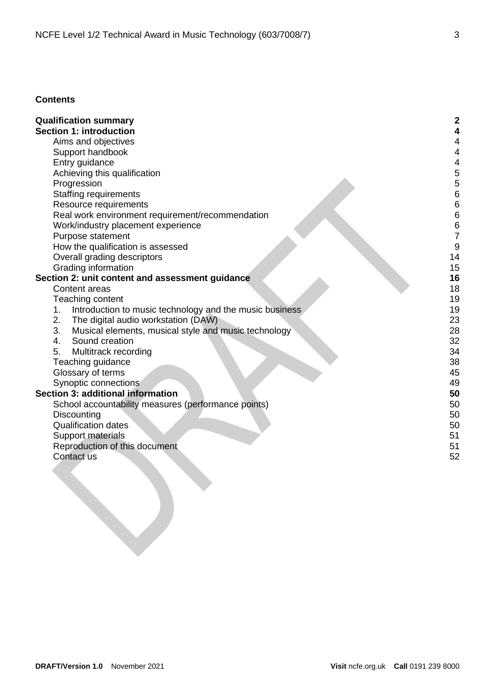# **Contents**

| <b>Qualification summary</b>                                  | 2  |
|---------------------------------------------------------------|----|
| <b>Section 1: introduction</b>                                |    |
| Aims and objectives                                           | 4  |
| Support handbook                                              | 4  |
| Entry guidance                                                | 4  |
| Achieving this qualification                                  | 5  |
| Progression                                                   | 5  |
| <b>Staffing requirements</b>                                  | 6  |
| Resource requirements                                         | 6  |
| Real work environment requirement/recommendation              | 6  |
| Work/industry placement experience                            | 6  |
| Purpose statement                                             | 7  |
| How the qualification is assessed                             | 9  |
| Overall grading descriptors                                   | 14 |
| Grading information                                           | 15 |
| Section 2: unit content and assessment guidance               | 16 |
| Content areas                                                 | 18 |
| Teaching content                                              | 19 |
| Introduction to music technology and the music business<br>1. | 19 |
| The digital audio workstation (DAW)<br>2.                     | 23 |
| 3.<br>Musical elements, musical style and music technology    | 28 |
| Sound creation<br>4.                                          | 32 |
| 5.<br>Multitrack recording                                    | 34 |
| Teaching guidance                                             | 38 |
| Glossary of terms                                             | 45 |
| Synoptic connections                                          | 49 |
| <b>Section 3: additional information</b>                      | 50 |
| School accountability measures (performance points)           | 50 |
| Discounting                                                   | 50 |
| <b>Qualification dates</b>                                    | 50 |
| Support materials                                             | 51 |
| Reproduction of this document                                 | 51 |
| Contact us                                                    | 52 |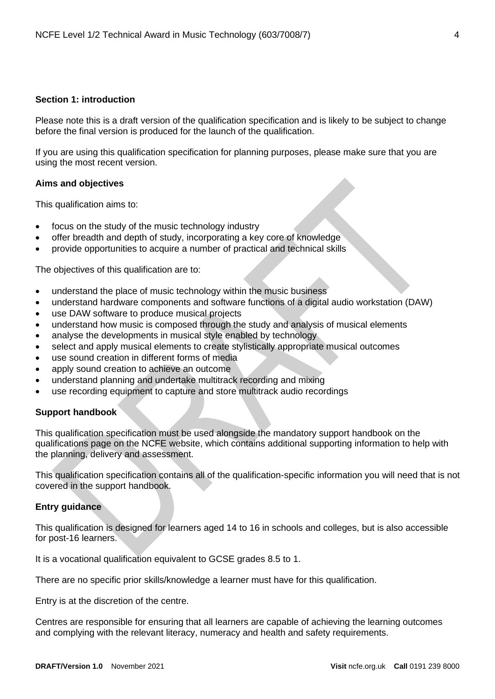## <span id="page-3-0"></span>**Section 1: introduction**

Please note this is a draft version of the qualification specification and is likely to be subject to change before the final version is produced for the launch of the qualification.

If you are using this qualification specification for planning purposes, please make sure that you are using the most recent version.

## <span id="page-3-1"></span>**Aims and objectives**

This qualification aims to:

- focus on the study of the music technology industry
- offer breadth and depth of study, incorporating a key core of knowledge
- provide opportunities to acquire a number of practical and technical skills

The objectives of this qualification are to:

- understand the place of music technology within the music business
- understand hardware components and software functions of a digital audio workstation (DAW)
- use DAW software to produce musical projects
- understand how music is composed through the study and analysis of musical elements
- analyse the developments in musical style enabled by technology
- select and apply musical elements to create stylistically appropriate musical outcomes
- use sound creation in different forms of media
- apply sound creation to achieve an outcome
- understand planning and undertake multitrack recording and mixing
- use recording equipment to capture and store multitrack audio recordings

## <span id="page-3-2"></span>**Support handbook**

This qualification specification must be used alongside the mandatory support handbook on the qualifications page on the NCFE website, which contains additional supporting information to help with the planning, delivery and assessment.

This qualification specification contains all of the qualification-specific information you will need that is not covered in the support handbook.

## <span id="page-3-3"></span>**Entry guidance**

This qualification is designed for learners aged 14 to 16 in schools and colleges, but is also accessible for post-16 learners.

It is a vocational qualification equivalent to GCSE grades 8.5 to 1.

There are no specific prior skills/knowledge a learner must have for this qualification.

Entry is at the discretion of the centre.

Centres are responsible for ensuring that all learners are capable of achieving the learning outcomes and complying with the relevant literacy, numeracy and health and safety requirements.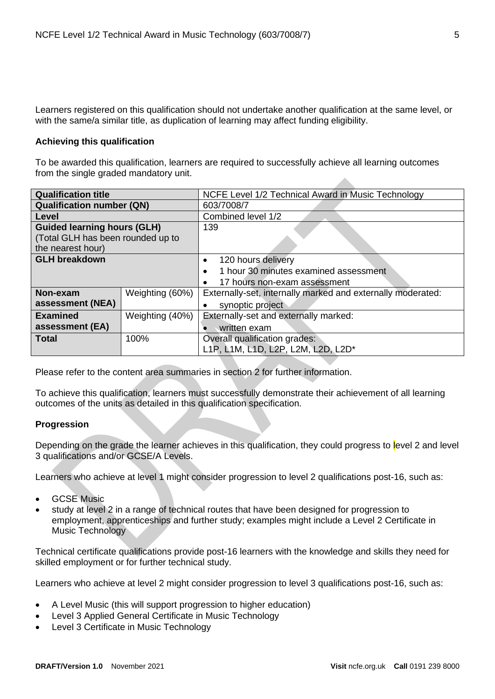Learners registered on this qualification should not undertake another qualification at the same level, or with the same/a similar title, as duplication of learning may affect funding eligibility.

## <span id="page-4-0"></span>**Achieving this qualification**

To be awarded this qualification, learners are required to successfully achieve all learning outcomes from the single graded mandatory unit.

| <b>Qualification title</b>                                                                   |                 | NCFE Level 1/2 Technical Award in Music Technology          |  |  |
|----------------------------------------------------------------------------------------------|-----------------|-------------------------------------------------------------|--|--|
| <b>Qualification number (QN)</b>                                                             |                 | 603/7008/7                                                  |  |  |
| Level                                                                                        |                 | Combined level 1/2                                          |  |  |
| <b>Guided learning hours (GLH)</b><br>(Total GLH has been rounded up to<br>the nearest hour) |                 | 139                                                         |  |  |
| <b>GLH breakdown</b>                                                                         |                 | 120 hours delivery<br>٠                                     |  |  |
|                                                                                              |                 | 1 hour 30 minutes examined assessment<br>$\bullet$          |  |  |
|                                                                                              |                 | 17 hours non-exam assessment<br>$\bullet$                   |  |  |
| Non-exam                                                                                     | Weighting (60%) | Externally-set, internally marked and externally moderated: |  |  |
| assessment (NEA)                                                                             |                 | synoptic project                                            |  |  |
| <b>Examined</b>                                                                              | Weighting (40%) | Externally-set and externally marked:                       |  |  |
| assessment (EA)                                                                              |                 | written exam                                                |  |  |
| <b>Total</b>                                                                                 | 100%            | Overall qualification grades:                               |  |  |
|                                                                                              |                 | L1P, L1M, L1D, L2P, L2M, L2D, L2D*                          |  |  |

Please refer to the content area summaries in section 2 for further information.

To achieve this qualification, learners must successfully demonstrate their achievement of all learning outcomes of the units as detailed in this qualification specification.

## <span id="page-4-1"></span>**Progression**

Depending on the grade the learner achieves in this qualification, they could progress to level 2 and level 3 qualifications and/or GCSE/A Levels.

Learners who achieve at level 1 might consider progression to level 2 qualifications post-16, such as:

- GCSE Music
- study at level 2 in a range of technical routes that have been designed for progression to employment, apprenticeships and further study; examples might include a Level 2 Certificate in Music Technology

Technical certificate qualifications provide post-16 learners with the knowledge and skills they need for skilled employment or for further technical study.

Learners who achieve at level 2 might consider progression to level 3 qualifications post-16, such as:

- A Level Music (this will support progression to higher education)
- Level 3 Applied General Certificate in Music Technology
- Level 3 Certificate in Music Technology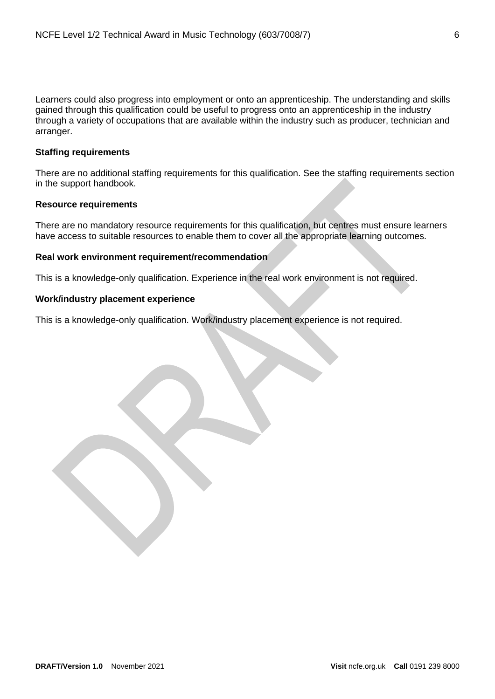Learners could also progress into employment or onto an apprenticeship. The understanding and skills gained through this qualification could be useful to progress onto an apprenticeship in the industry through a variety of occupations that are available within the industry such as producer, technician and arranger.

## <span id="page-5-0"></span>**Staffing requirements**

There are no additional staffing requirements for this qualification. See the staffing requirements section in the support handbook.

## <span id="page-5-1"></span>**Resource requirements**

There are no mandatory resource requirements for this qualification, but centres must ensure learners have access to suitable resources to enable them to cover all the appropriate learning outcomes.

## <span id="page-5-2"></span>**Real work environment requirement/recommendation**

This is a knowledge-only qualification. Experience in the real work environment is not required.

## <span id="page-5-3"></span>**Work/industry placement experience**

This is a knowledge-only qualification. Work/industry placement experience is not required.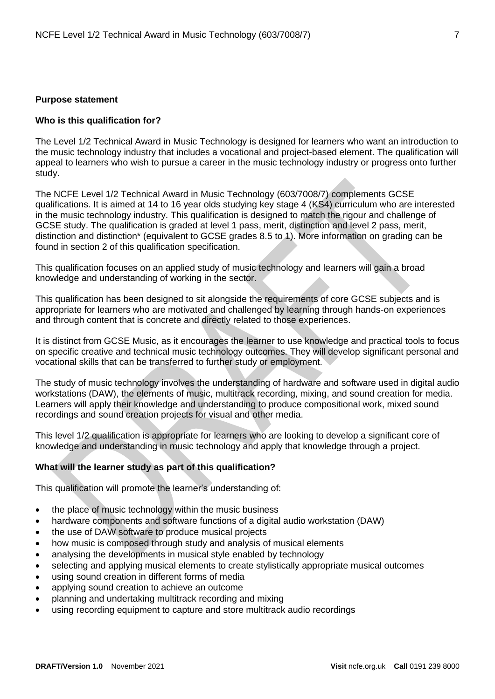#### <span id="page-6-0"></span>**Purpose statement**

#### **Who is this qualification for?**

The Level 1/2 Technical Award in Music Technology is designed for learners who want an introduction to the music technology industry that includes a vocational and project-based element. The qualification will appeal to learners who wish to pursue a career in the music technology industry or progress onto further study.

The NCFE Level 1/2 Technical Award in Music Technology (603/7008/7) complements GCSE qualifications. It is aimed at 14 to 16 year olds studying key stage 4 (KS4) curriculum who are interested in the music technology industry. This qualification is designed to match the rigour and challenge of GCSE study. The qualification is graded at level 1 pass, merit, distinction and level 2 pass, merit, distinction and distinction\* (equivalent to GCSE grades 8.5 to 1). More information on grading can be found in section 2 of this qualification specification.

This qualification focuses on an applied study of music technology and learners will gain a broad knowledge and understanding of working in the sector.

This qualification has been designed to sit alongside the requirements of core GCSE subjects and is appropriate for learners who are motivated and challenged by learning through hands-on experiences and through content that is concrete and directly related to those experiences.

It is distinct from GCSE Music, as it encourages the learner to use knowledge and practical tools to focus on specific creative and technical music technology outcomes. They will develop significant personal and vocational skills that can be transferred to further study or employment.

The study of music technology involves the understanding of hardware and software used in digital audio workstations (DAW), the elements of music, multitrack recording, mixing, and sound creation for media. Learners will apply their knowledge and understanding to produce compositional work, mixed sound recordings and sound creation projects for visual and other media.

This level 1/2 qualification is appropriate for learners who are looking to develop a significant core of knowledge and understanding in music technology and apply that knowledge through a project.

#### **What will the learner study as part of this qualification?**

This qualification will promote the learner's understanding of:

- the place of music technology within the music business
- hardware components and software functions of a digital audio workstation (DAW)
- the use of DAW software to produce musical projects
- how music is composed through study and analysis of musical elements
- analysing the developments in musical style enabled by technology
- selecting and applying musical elements to create stylistically appropriate musical outcomes
- using sound creation in different forms of media
- applying sound creation to achieve an outcome
- planning and undertaking multitrack recording and mixing
- using recording equipment to capture and store multitrack audio recordings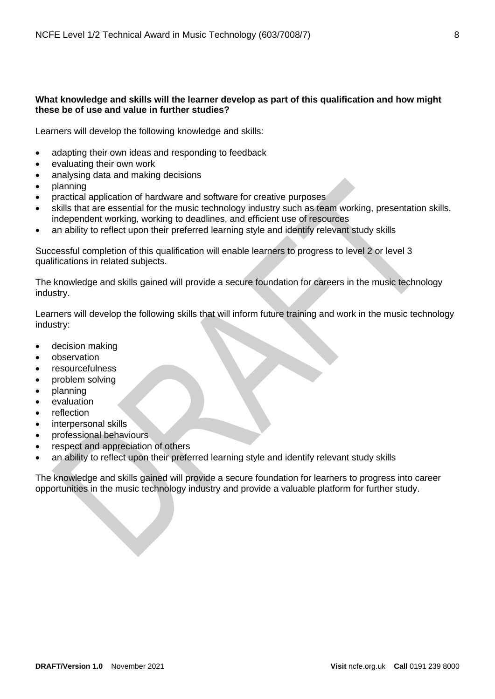## **What knowledge and skills will the learner develop as part of this qualification and how might these be of use and value in further studies?**

Learners will develop the following knowledge and skills:

- adapting their own ideas and responding to feedback
- evaluating their own work
- analysing data and making decisions
- planning
- practical application of hardware and software for creative purposes
- skills that are essential for the music technology industry such as team working, presentation skills, independent working, working to deadlines, and efficient use of resources
- an ability to reflect upon their preferred learning style and identify relevant study skills

Successful completion of this qualification will enable learners to progress to level 2 or level 3 qualifications in related subjects.

The knowledge and skills gained will provide a secure foundation for careers in the music technology industry.

Learners will develop the following skills that will inform future training and work in the music technology industry:

- decision making
- observation
- resourcefulness
- problem solving
- planning
- evaluation
- reflection
- interpersonal skills
- professional behaviours
- respect and appreciation of others
- an ability to reflect upon their preferred learning style and identify relevant study skills

The knowledge and skills gained will provide a secure foundation for learners to progress into career opportunities in the music technology industry and provide a valuable platform for further study.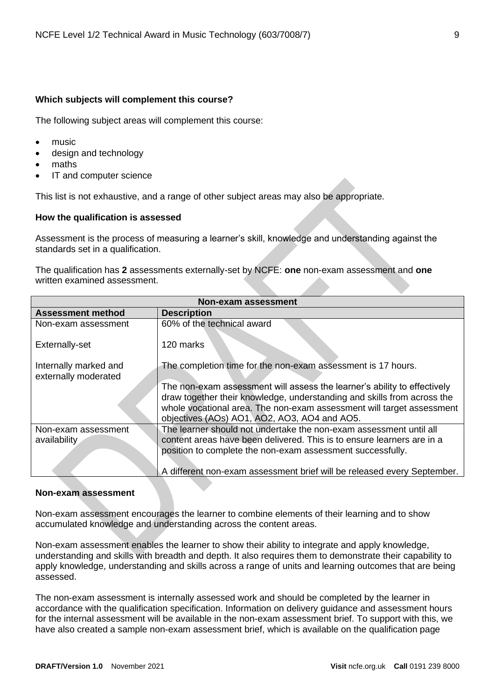## **Which subjects will complement this course?**

The following subject areas will complement this course:

- music
- design and technology
- maths
- IT and computer science

This list is not exhaustive, and a range of other subject areas may also be appropriate.

## <span id="page-8-0"></span>**How the qualification is assessed**

Assessment is the process of measuring a learner's skill, knowledge and understanding against the standards set in a qualification.

The qualification has **2** assessments externally-set by NCFE: **one** non-exam assessment and **one** written examined assessment.

|                                               | Non-exam assessment                                                                                                                                                                                                                                                          |  |  |  |  |
|-----------------------------------------------|------------------------------------------------------------------------------------------------------------------------------------------------------------------------------------------------------------------------------------------------------------------------------|--|--|--|--|
| <b>Assessment method</b>                      | <b>Description</b>                                                                                                                                                                                                                                                           |  |  |  |  |
| Non-exam assessment                           | 60% of the technical award                                                                                                                                                                                                                                                   |  |  |  |  |
| Externally-set                                | 120 marks                                                                                                                                                                                                                                                                    |  |  |  |  |
| Internally marked and<br>externally moderated | The completion time for the non-exam assessment is 17 hours.                                                                                                                                                                                                                 |  |  |  |  |
|                                               | The non-exam assessment will assess the learner's ability to effectively<br>draw together their knowledge, understanding and skills from across the<br>whole vocational area. The non-exam assessment will target assessment<br>objectives (AOs) AO1, AO2, AO3, AO4 and AO5. |  |  |  |  |
| Non-exam assessment<br>availability           | The learner should not undertake the non-exam assessment until all<br>content areas have been delivered. This is to ensure learners are in a<br>position to complete the non-exam assessment successfully.                                                                   |  |  |  |  |
|                                               | A different non-exam assessment brief will be released every September.                                                                                                                                                                                                      |  |  |  |  |

## **Non-exam assessment**

Non-exam assessment encourages the learner to combine elements of their learning and to show accumulated knowledge and understanding across the content areas.

Non-exam assessment enables the learner to show their ability to integrate and apply knowledge, understanding and skills with breadth and depth. It also requires them to demonstrate their capability to apply knowledge, understanding and skills across a range of units and learning outcomes that are being assessed.

The non-exam assessment is internally assessed work and should be completed by the learner in accordance with the qualification specification. Information on delivery guidance and assessment hours for the internal assessment will be available in the non-exam assessment brief. To support with this, we have also created a sample non-exam assessment brief, which is available on the qualification page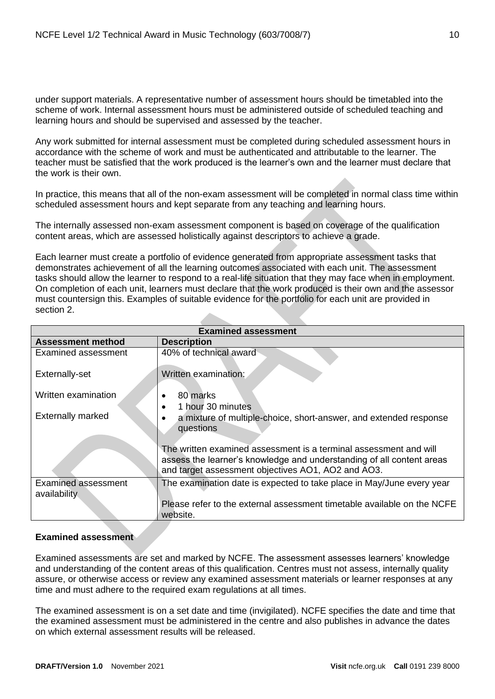under support materials. A representative number of assessment hours should be timetabled into the scheme of work. Internal assessment hours must be administered outside of scheduled teaching and learning hours and should be supervised and assessed by the teacher.

Any work submitted for internal assessment must be completed during scheduled assessment hours in accordance with the scheme of work and must be authenticated and attributable to the learner. The teacher must be satisfied that the work produced is the learner's own and the learner must declare that the work is their own.

In practice, this means that all of the non-exam assessment will be completed in normal class time within scheduled assessment hours and kept separate from any teaching and learning hours.

The internally assessed non-exam assessment component is based on coverage of the qualification content areas, which are assessed holistically against descriptors to achieve a grade.

Each learner must create a portfolio of evidence generated from appropriate assessment tasks that demonstrates achievement of all the learning outcomes associated with each unit. The assessment tasks should allow the learner to respond to a real-life situation that they may face when in employment. On completion of each unit, learners must declare that the work produced is their own and the assessor must countersign this. Examples of suitable evidence for the portfolio for each unit are provided in section 2.

| <b>Examined assessment</b>                 |                                                                                                                                                                                                  |  |  |  |
|--------------------------------------------|--------------------------------------------------------------------------------------------------------------------------------------------------------------------------------------------------|--|--|--|
| <b>Assessment method</b>                   | <b>Description</b>                                                                                                                                                                               |  |  |  |
| Examined assessment                        | 40% of technical award                                                                                                                                                                           |  |  |  |
| Externally-set                             | Written examination:                                                                                                                                                                             |  |  |  |
| Written examination                        | 80 marks<br>1 hour 30 minutes                                                                                                                                                                    |  |  |  |
| <b>Externally marked</b>                   | a mixture of multiple-choice, short-answer, and extended response<br>questions                                                                                                                   |  |  |  |
|                                            | The written examined assessment is a terminal assessment and will<br>assess the learner's knowledge and understanding of all content areas<br>and target assessment objectives AO1, AO2 and AO3. |  |  |  |
| <b>Examined assessment</b><br>availability | The examination date is expected to take place in May/June every year                                                                                                                            |  |  |  |
|                                            | Please refer to the external assessment timetable available on the NCFE<br>website.                                                                                                              |  |  |  |

## **Examined assessment**

Examined assessments are set and marked by NCFE. The assessment assesses learners' knowledge and understanding of the content areas of this qualification. Centres must not assess, internally quality assure, or otherwise access or review any examined assessment materials or learner responses at any time and must adhere to the required exam regulations at all times.

The examined assessment is on a set date and time (invigilated). NCFE specifies the date and time that the examined assessment must be administered in the centre and also publishes in advance the dates on which external assessment results will be released.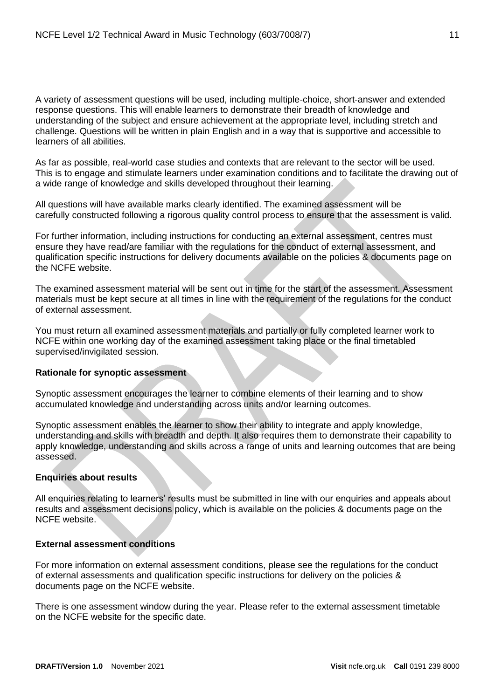A variety of assessment questions will be used, including multiple-choice, short-answer and extended response questions. This will enable learners to demonstrate their breadth of knowledge and understanding of the subject and ensure achievement at the appropriate level, including stretch and challenge. Questions will be written in plain English and in a way that is supportive and accessible to learners of all abilities.

As far as possible, real-world case studies and contexts that are relevant to the sector will be used. This is to engage and stimulate learners under examination conditions and to facilitate the drawing out of a wide range of knowledge and skills developed throughout their learning.

All questions will have available marks clearly identified. The examined assessment will be carefully constructed following a rigorous quality control process to ensure that the assessment is valid.

For further information, including instructions for conducting an external assessment, centres must ensure they have read/are familiar with the regulations for the conduct of external assessment, and qualification specific instructions for delivery documents available on the policies & documents page on the NCFE website.

The examined assessment material will be sent out in time for the start of the assessment. Assessment materials must be kept secure at all times in line with the requirement of the regulations for the conduct of external assessment.

You must return all examined assessment materials and partially or fully completed learner work to NCFE within one working day of the examined assessment taking place or the final timetabled supervised/invigilated session.

## **Rationale for synoptic assessment**

Synoptic assessment encourages the learner to combine elements of their learning and to show accumulated knowledge and understanding across units and/or learning outcomes.

Synoptic assessment enables the learner to show their ability to integrate and apply knowledge, understanding and skills with breadth and depth. It also requires them to demonstrate their capability to apply knowledge, understanding and skills across a range of units and learning outcomes that are being assessed.

## **Enquiries about results**

All enquiries relating to learners' results must be submitted in line with our enquiries and appeals about results and assessment decisions policy, which is available on the policies & documents page on the NCFE website.

## **External assessment conditions**

For more information on external assessment conditions, please see the regulations for the conduct of external assessments and qualification specific instructions for delivery on the policies & documents page on the NCFE website.

There is one assessment window during the year. Please refer to the external assessment timetable on the NCFE website for the specific date.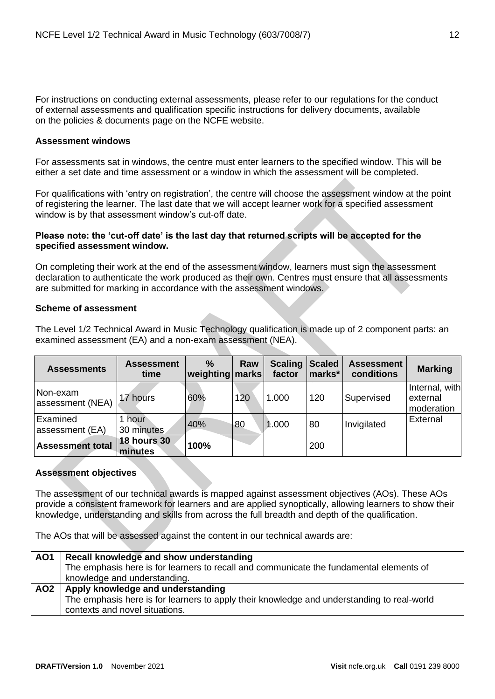For instructions on conducting external assessments, please refer to our regulations for the conduct of external assessments and qualification specific instructions for delivery documents, available on the policies & documents page on the NCFE website.

## **Assessment windows**

For assessments sat in windows, the centre must enter learners to the specified window. This will be either a set date and time assessment or a window in which the assessment will be completed.

For qualifications with 'entry on registration', the centre will choose the assessment window at the point of registering the learner. The last date that we will accept learner work for a specified assessment window is by that assessment window's cut-off date.

## **Please note: the 'cut-off date' is the last day that returned scripts will be accepted for the specified assessment window.**

On completing their work at the end of the assessment window, learners must sign the assessment declaration to authenticate the work produced as their own. Centres must ensure that all assessments are submitted for marking in accordance with the assessment windows.

## **Scheme of assessment**

The Level 1/2 Technical Award in Music Technology qualification is made up of 2 component parts: an examined assessment (EA) and a non-exam assessment (NEA).

| <b>Assessments</b>           | <b>Assessment</b><br>time     | $\%$<br>weighting   marks | Raw | <b>Scaling</b><br>factor | <b>Scaled</b><br>marks* | <b>Assessment</b><br>conditions | <b>Marking</b>                           |
|------------------------------|-------------------------------|---------------------------|-----|--------------------------|-------------------------|---------------------------------|------------------------------------------|
| Non-exam<br>assessment (NEA) | 17 hours                      | 60%                       | 120 | 1.000                    | 120                     | Supervised                      | Internal, with<br>external<br>moderation |
| Examined<br>assessment (EA)  | 1 hour<br>30 minutes          | 40%                       | 80  | 1.000                    | 80                      | Invigilated                     | External                                 |
| <b>Assessment total</b>      | <b>18 hours 30</b><br>minutes | 100%                      |     |                          | 200                     |                                 |                                          |

## **Assessment objectives**

The assessment of our technical awards is mapped against assessment objectives (AOs). These AOs provide a consistent framework for learners and are applied synoptically, allowing learners to show their knowledge, understanding and skills from across the full breadth and depth of the qualification.

The AOs that will be assessed against the content in our technical awards are:

| AO <sub>1</sub> | Recall knowledge and show understanding                                                    |
|-----------------|--------------------------------------------------------------------------------------------|
|                 | The emphasis here is for learners to recall and communicate the fundamental elements of    |
|                 | knowledge and understanding.                                                               |
| AO <sub>2</sub> | Apply knowledge and understanding                                                          |
|                 | The emphasis here is for learners to apply their knowledge and understanding to real-world |
|                 | contexts and novel situations.                                                             |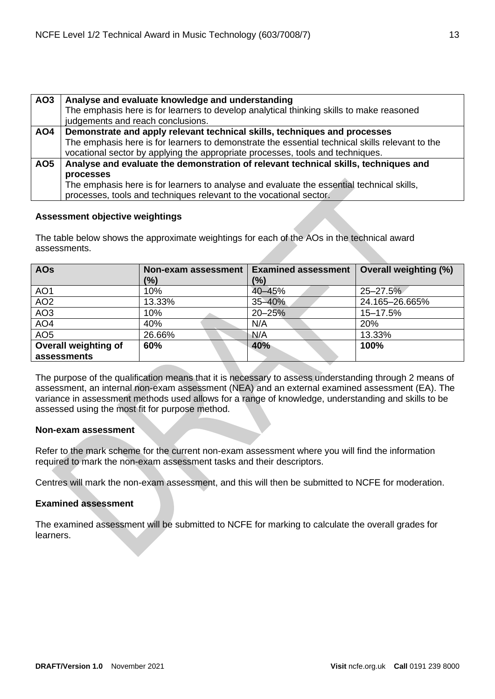| AO <sub>3</sub> | Analyse and evaluate knowledge and understanding                                                |
|-----------------|-------------------------------------------------------------------------------------------------|
|                 | The emphasis here is for learners to develop analytical thinking skills to make reasoned        |
|                 | judgements and reach conclusions.                                                               |
| AO4             | Demonstrate and apply relevant technical skills, techniques and processes                       |
|                 | The emphasis here is for learners to demonstrate the essential technical skills relevant to the |
|                 | vocational sector by applying the appropriate processes, tools and techniques.                  |
| AO <sub>5</sub> | Analyse and evaluate the demonstration of relevant technical skills, techniques and             |
|                 | processes                                                                                       |
|                 | The emphasis here is for learners to analyse and evaluate the essential technical skills,       |
|                 | processes, tools and techniques relevant to the vocational sector.                              |

## **Assessment objective weightings**

The table below shows the approximate weightings for each of the AOs in the technical award assessments.

| <b>AOs</b>           | Non-exam assessment | <b>Examined assessment</b> | <b>Overall weighting (%)</b> |  |
|----------------------|---------------------|----------------------------|------------------------------|--|
|                      | (%)                 | $\frac{10}{6}$             |                              |  |
| AO <sub>1</sub>      | 10%                 | 40-45%                     | $25 - 27.5%$                 |  |
| AO <sub>2</sub>      | 13.33%              | 35-40%                     | 24.165-26.665%               |  |
| AO <sub>3</sub>      | 10%                 | 20-25%                     | 15-17.5%                     |  |
| AO <sub>4</sub>      | 40%                 | N/A                        | 20%                          |  |
| AO <sub>5</sub>      | 26.66%              | N/A                        | 13.33%                       |  |
| Overall weighting of | 60%                 | 40%                        | 100%                         |  |
| assessments          |                     |                            |                              |  |

The purpose of the qualification means that it is necessary to assess understanding through 2 means of assessment, an internal non-exam assessment (NEA) and an external examined assessment (EA). The variance in assessment methods used allows for a range of knowledge, understanding and skills to be assessed using the most fit for purpose method.

## **Non-exam assessment**

Refer to the mark scheme for the current non-exam assessment where you will find the information required to mark the non-exam assessment tasks and their descriptors.

Centres will mark the non-exam assessment, and this will then be submitted to NCFE for moderation.

## **Examined assessment**

The examined assessment will be submitted to NCFE for marking to calculate the overall grades for learners.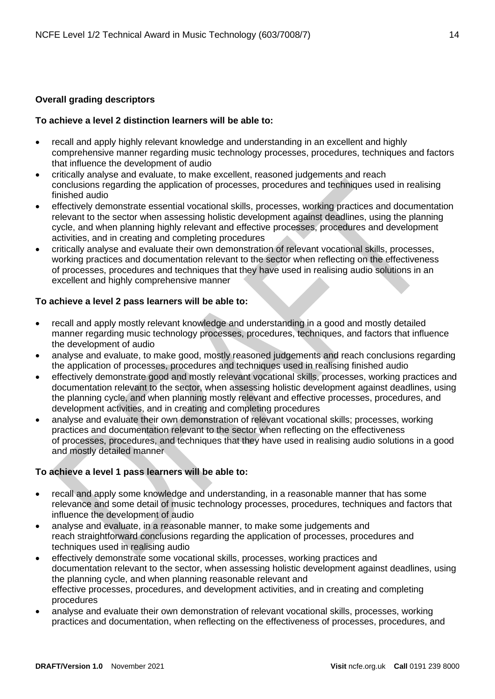## <span id="page-13-0"></span>**Overall grading descriptors**

## **To achieve a level 2 distinction learners will be able to:**

- recall and apply highly relevant knowledge and understanding in an excellent and highly comprehensive manner regarding music technology processes, procedures, techniques and factors that influence the development of audio
- critically analyse and evaluate, to make excellent, reasoned judgements and reach conclusions regarding the application of processes, procedures and techniques used in realising finished audio
- effectively demonstrate essential vocational skills, processes, working practices and documentation relevant to the sector when assessing holistic development against deadlines, using the planning cycle, and when planning highly relevant and effective processes, procedures and development activities, and in creating and completing procedures
- critically analyse and evaluate their own demonstration of relevant vocational skills, processes, working practices and documentation relevant to the sector when reflecting on the effectiveness of processes, procedures and techniques that they have used in realising audio solutions in an excellent and highly comprehensive manner

## **To achieve a level 2 pass learners will be able to:**

- recall and apply mostly relevant knowledge and understanding in a good and mostly detailed manner regarding music technology processes, procedures, techniques, and factors that influence the development of audio
- analyse and evaluate, to make good, mostly reasoned judgements and reach conclusions regarding the application of processes, procedures and techniques used in realising finished audio
- effectively demonstrate good and mostly relevant vocational skills, processes, working practices and documentation relevant to the sector, when assessing holistic development against deadlines, using the planning cycle, and when planning mostly relevant and effective processes, procedures, and development activities, and in creating and completing procedures
- analyse and evaluate their own demonstration of relevant vocational skills; processes, working practices and documentation relevant to the sector when reflecting on the effectiveness of processes, procedures, and techniques that they have used in realising audio solutions in a good and mostly detailed manner

## **To achieve a level 1 pass learners will be able to:**

- recall and apply some knowledge and understanding, in a reasonable manner that has some relevance and some detail of music technology processes, procedures, techniques and factors that influence the development of audio
- analyse and evaluate, in a reasonable manner, to make some judgements and reach straightforward conclusions regarding the application of processes, procedures and techniques used in realising audio
- effectively demonstrate some vocational skills, processes, working practices and documentation relevant to the sector, when assessing holistic development against deadlines, using the planning cycle, and when planning reasonable relevant and effective processes, procedures, and development activities, and in creating and completing procedures
- analyse and evaluate their own demonstration of relevant vocational skills, processes, working practices and documentation, when reflecting on the effectiveness of processes, procedures, and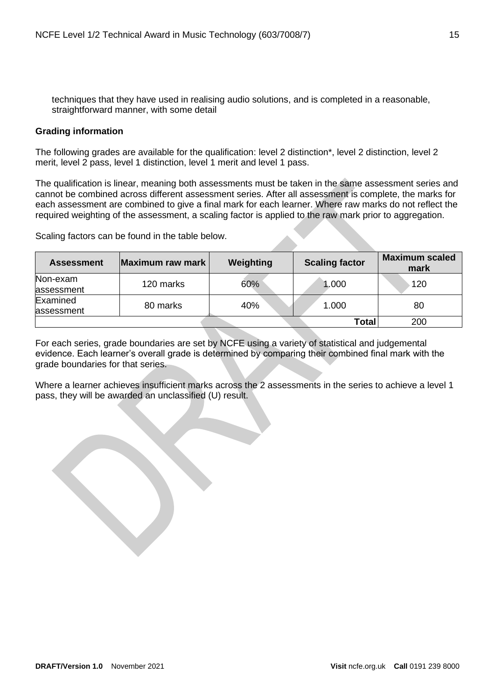techniques that they have used in realising audio solutions, and is completed in a reasonable, straightforward manner, with some detail

## <span id="page-14-0"></span>**Grading information**

The following grades are available for the qualification: level 2 distinction\*, level 2 distinction, level 2 merit, level 2 pass, level 1 distinction, level 1 merit and level 1 pass.

The qualification is linear, meaning both assessments must be taken in the same assessment series and cannot be combined across different assessment series. After all assessment is complete, the marks for each assessment are combined to give a final mark for each learner. Where raw marks do not reflect the required weighting of the assessment, a scaling factor is applied to the raw mark prior to aggregation.

Scaling factors can be found in the table below.

| <b>Assessment</b>      | Maximum raw mark | Weighting | <b>Scaling factor</b> | <b>Maximum scaled</b><br>mark |
|------------------------|------------------|-----------|-----------------------|-------------------------------|
| Non-exam<br>assessment | 120 marks        | 60%       | 1.000                 | 120                           |
| Examined<br>assessment | 80 marks         | 40%       | 1.000                 | 80                            |
|                        |                  |           | Total                 | 200                           |

For each series, grade boundaries are set by NCFE using a variety of statistical and judgemental evidence. Each learner's overall grade is determined by comparing their combined final mark with the grade boundaries for that series.

Where a learner achieves insufficient marks across the 2 assessments in the series to achieve a level 1 pass, they will be awarded an unclassified (U) result.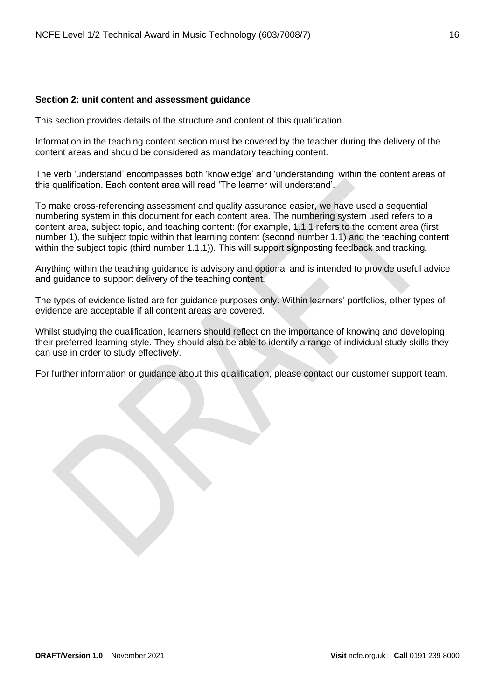#### <span id="page-15-0"></span>**Section 2: unit content and assessment guidance**

This section provides details of the structure and content of this qualification.

Information in the teaching content section must be covered by the teacher during the delivery of the content areas and should be considered as mandatory teaching content.

The verb 'understand' encompasses both 'knowledge' and 'understanding' within the content areas of this qualification. Each content area will read 'The learner will understand'.

To make cross-referencing assessment and quality assurance easier, we have used a sequential numbering system in this document for each content area. The numbering system used refers to a content area, subject topic, and teaching content: (for example, 1.1.1 refers to the content area (first number 1), the subject topic within that learning content (second number 1.1) and the teaching content within the subject topic (third number 1.1.1)). This will support signposting feedback and tracking.

Anything within the teaching guidance is advisory and optional and is intended to provide useful advice and guidance to support delivery of the teaching content.

The types of evidence listed are for guidance purposes only. Within learners' portfolios, other types of evidence are acceptable if all content areas are covered.

Whilst studying the qualification, learners should reflect on the importance of knowing and developing their preferred learning style. They should also be able to identify a range of individual study skills they can use in order to study effectively.

For further information or guidance about this qualification, please contact our customer support team.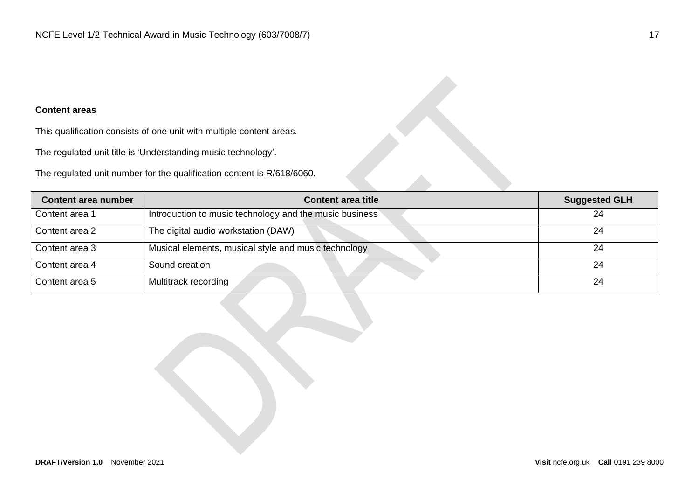## **Content areas**

This qualification consists of one unit with multiple content areas.

The regulated unit title is 'Understanding music technology'.

The regulated unit number for the qualification content is R/618/6060.

| Content area number | <b>Content area title</b>                               | <b>Suggested GLH</b> |
|---------------------|---------------------------------------------------------|----------------------|
| Content area 1      | Introduction to music technology and the music business | 24                   |
| Content area 2      | The digital audio workstation (DAW)                     | 24                   |
| Content area 3      | Musical elements, musical style and music technology    | 24                   |
| Content area 4      | Sound creation                                          | 24                   |
| Content area 5      | Multitrack recording                                    | 24                   |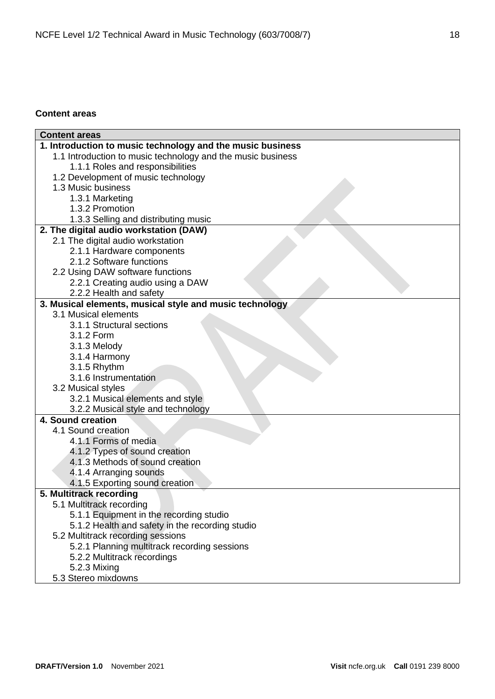## <span id="page-17-0"></span>**Content areas**

| <b>Content areas</b>                                        |
|-------------------------------------------------------------|
| 1. Introduction to music technology and the music business  |
| 1.1 Introduction to music technology and the music business |
| 1.1.1 Roles and responsibilities                            |
| 1.2 Development of music technology                         |
| 1.3 Music business                                          |
| 1.3.1 Marketing                                             |
| 1.3.2 Promotion                                             |
| 1.3.3 Selling and distributing music                        |
| 2. The digital audio workstation (DAW)                      |
| 2.1 The digital audio workstation                           |
| 2.1.1 Hardware components                                   |
| 2.1.2 Software functions                                    |
| 2.2 Using DAW software functions                            |
| 2.2.1 Creating audio using a DAW                            |
| 2.2.2 Health and safety                                     |
| 3. Musical elements, musical style and music technology     |
| 3.1 Musical elements                                        |
| 3.1.1 Structural sections                                   |
| 3.1.2 Form                                                  |
| 3.1.3 Melody                                                |
| 3.1.4 Harmony                                               |
| 3.1.5 Rhythm                                                |
| 3.1.6 Instrumentation                                       |
| 3.2 Musical styles                                          |
| 3.2.1 Musical elements and style                            |
| 3.2.2 Musical style and technology                          |
| 4. Sound creation                                           |
| 4.1 Sound creation                                          |
| 4.1.1 Forms of media                                        |
| 4.1.2 Types of sound creation                               |
| 4.1.3 Methods of sound creation                             |
| 4.1.4 Arranging sounds                                      |
| 4.1.5 Exporting sound creation                              |
| 5. Multitrack recording                                     |
| 5.1 Multitrack recording                                    |
| 5.1.1 Equipment in the recording studio                     |
| 5.1.2 Health and safety in the recording studio             |
| 5.2 Multitrack recording sessions                           |
| 5.2.1 Planning multitrack recording sessions                |
| 5.2.2 Multitrack recordings                                 |
| 5.2.3 Mixing                                                |
| 5.3 Stereo mixdowns                                         |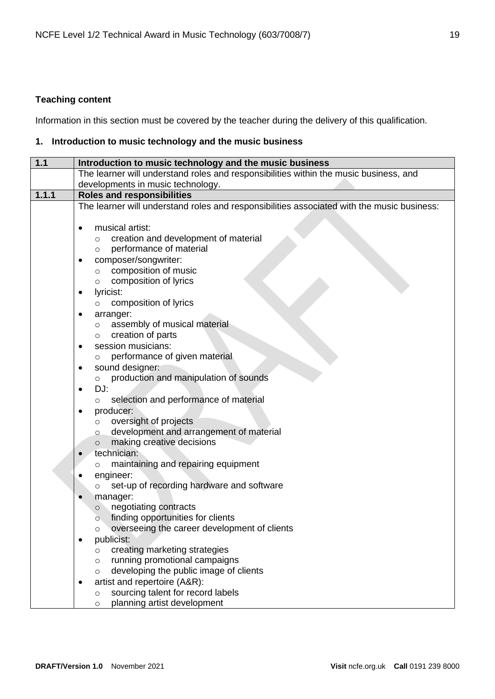# <span id="page-18-0"></span>**Teaching content**

Information in this section must be covered by the teacher during the delivery of this qualification.

## <span id="page-18-1"></span>**1. Introduction to music technology and the music business**

| $1.1$ | Introduction to music technology and the music business                                    |
|-------|--------------------------------------------------------------------------------------------|
|       | The learner will understand roles and responsibilities within the music business, and      |
|       | developments in music technology.                                                          |
| 1.1.1 | <b>Roles and responsibilities</b>                                                          |
|       | The learner will understand roles and responsibilities associated with the music business: |
|       |                                                                                            |
|       | musical artist:<br>$\bullet$                                                               |
|       | creation and development of material<br>$\circ$                                            |
|       | performance of material<br>$\circ$                                                         |
|       | composer/songwriter:                                                                       |
|       | composition of music<br>$\circ$                                                            |
|       | composition of lyrics<br>$\circ$                                                           |
|       | lyricist:<br>٠                                                                             |
|       | composition of lyrics<br>O                                                                 |
|       | arranger:<br>$\bullet$                                                                     |
|       | assembly of musical material<br>$\circ$                                                    |
|       | creation of parts<br>$\circ$                                                               |
|       | session musicians:<br>٠                                                                    |
|       | performance of given material<br>O                                                         |
|       | sound designer:<br>٠                                                                       |
|       | production and manipulation of sounds<br>$\circ$                                           |
|       | DJ:<br>٠                                                                                   |
|       | selection and performance of material<br>$\circ$                                           |
|       | producer:                                                                                  |
|       | oversight of projects<br>$\circ$                                                           |
|       | development and arrangement of material<br>$\circ$                                         |
|       | making creative decisions<br>$\circ$<br>technician:                                        |
|       | maintaining and repairing equipment                                                        |
|       | O<br>engineer:                                                                             |
|       | set-up of recording hardware and software                                                  |
|       | manager:                                                                                   |
|       | negotiating contracts<br>$\circ$                                                           |
|       | finding opportunities for clients<br>$\circ$                                               |
|       | overseeing the career development of clients                                               |
|       | publicist:<br>٠                                                                            |
|       | creating marketing strategies<br>$\circ$                                                   |
|       | running promotional campaigns<br>$\circ$                                                   |
|       | developing the public image of clients<br>$\circ$                                          |
|       | artist and repertoire (A&R):<br>٠                                                          |
|       | sourcing talent for record labels<br>$\circ$                                               |
|       | planning artist development<br>$\circ$                                                     |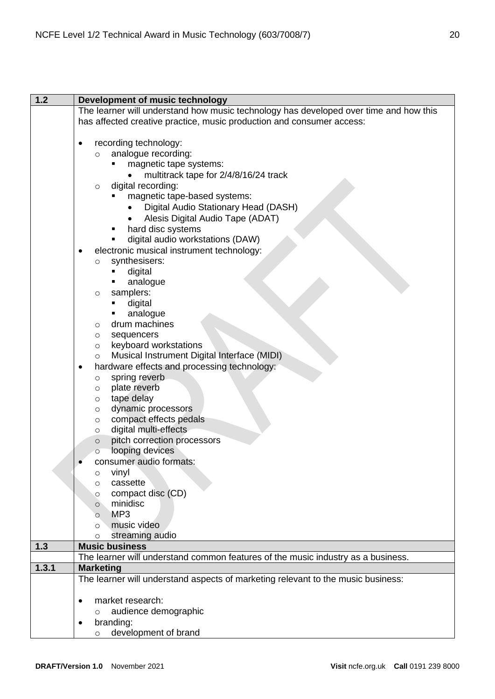| $1.2$ | Development of music technology                                                       |
|-------|---------------------------------------------------------------------------------------|
|       | The learner will understand how music technology has developed over time and how this |
|       | has affected creative practice, music production and consumer access:                 |
|       |                                                                                       |
|       | recording technology:                                                                 |
|       | analogue recording:<br>O                                                              |
|       | magnetic tape systems:                                                                |
|       | multitrack tape for 2/4/8/16/24 track                                                 |
|       | digital recording:<br>$\circ$                                                         |
|       | magnetic tape-based systems:                                                          |
|       | Digital Audio Stationary Head (DASH)                                                  |
|       | Alesis Digital Audio Tape (ADAT)                                                      |
|       | hard disc systems                                                                     |
|       | digital audio workstations (DAW)                                                      |
|       | electronic musical instrument technology:                                             |
|       | synthesisers:<br>O                                                                    |
|       | digital                                                                               |
|       | analogue                                                                              |
|       | samplers:<br>$\circ$                                                                  |
|       | digital<br>analogue                                                                   |
|       | drum machines                                                                         |
|       | O<br>sequencers<br>$\circ$                                                            |
|       | keyboard workstations<br>$\circ$                                                      |
|       | Musical Instrument Digital Interface (MIDI)<br>O                                      |
|       | hardware effects and processing technology:<br>٠                                      |
|       | spring reverb<br>O                                                                    |
|       | plate reverb<br>$\circ$                                                               |
|       | tape delay<br>$\circ$                                                                 |
|       | dynamic processors<br>O                                                               |
|       | compact effects pedals<br>O                                                           |
|       | digital multi-effects<br>$\circ$                                                      |
|       | pitch correction processors<br>$\circ$                                                |
|       | looping devices<br>$\circ$                                                            |
|       | consumer audio formats:                                                               |
|       | vinyl<br>O                                                                            |
|       | cassette<br>O                                                                         |
|       | compact disc (CD)<br>$\circ$                                                          |
|       | minidisc<br>$\circ$                                                                   |
|       | MP <sub>3</sub><br>$\circ$<br>music video                                             |
|       | $\circ$<br>streaming audio<br>$\circ$                                                 |
| 1.3   | <b>Music business</b>                                                                 |
|       | The learner will understand common features of the music industry as a business.      |
| 1.3.1 | <b>Marketing</b>                                                                      |
|       | The learner will understand aspects of marketing relevant to the music business:      |
|       |                                                                                       |
|       | market research:<br>$\bullet$                                                         |
|       | audience demographic<br>$\circ$                                                       |
|       | branding:                                                                             |
|       | development of brand<br>O                                                             |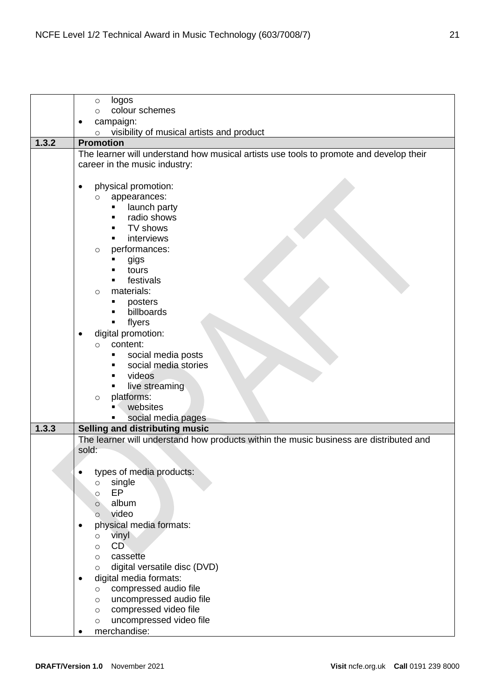|       | logos<br>$\circ$                                                                       |
|-------|----------------------------------------------------------------------------------------|
|       | colour schemes<br>$\circ$                                                              |
|       | campaign:                                                                              |
|       | visibility of musical artists and product<br>$\circ$                                   |
| 1.3.2 | <b>Promotion</b>                                                                       |
|       | The learner will understand how musical artists use tools to promote and develop their |
|       | career in the music industry:                                                          |
|       |                                                                                        |
|       | physical promotion:<br>٠                                                               |
|       | appearances:<br>$\circ$                                                                |
|       | launch party                                                                           |
|       | radio shows                                                                            |
|       | TV shows                                                                               |
|       | interviews<br>performances:                                                            |
|       | $\circ$<br>gigs                                                                        |
|       | tours                                                                                  |
|       | festivals                                                                              |
|       | materials:<br>$\circ$                                                                  |
|       | posters                                                                                |
|       | billboards                                                                             |
|       | flyers<br>٠                                                                            |
|       | digital promotion:                                                                     |
|       | content:<br>$\circ$                                                                    |
|       | social media posts<br>п                                                                |
|       | social media stories                                                                   |
|       | videos                                                                                 |
|       | live streaming                                                                         |
|       | platforms:<br>$\circ$                                                                  |
|       | websites<br>social media pages                                                         |
| 1.3.3 | Selling and distributing music                                                         |
|       | The learner will understand how products within the music business are distributed and |
|       | sold:                                                                                  |
|       |                                                                                        |
|       | types of media products:                                                               |
|       | single<br>$\circ$                                                                      |
|       | EP<br>$\circ$                                                                          |
|       | album<br>$\circ$                                                                       |
|       | video<br>$\circ$                                                                       |
|       | physical media formats:<br>٠                                                           |
|       | vinyl<br>$\circ$                                                                       |
|       | CD<br>$\circ$                                                                          |
|       | cassette<br>$\circ$                                                                    |
|       | digital versatile disc (DVD)<br>$\circ$                                                |
|       | digital media formats:<br>٠                                                            |
|       | compressed audio file<br>$\circ$<br>uncompressed audio file                            |
|       | $\circ$<br>compressed video file                                                       |
|       | O<br>uncompressed video file<br>O                                                      |
|       | merchandise:                                                                           |
|       |                                                                                        |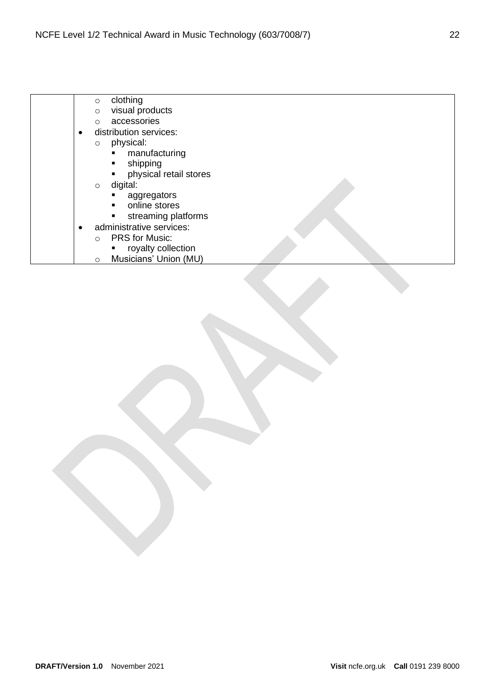|           | clothing<br>$\circ$                      |  |
|-----------|------------------------------------------|--|
|           | visual products<br>$\circ$               |  |
|           | accessories<br>$\circ$                   |  |
| $\bullet$ | distribution services:                   |  |
|           | physical:<br>$\circ$                     |  |
|           | manufacturing                            |  |
|           | shipping<br>$\blacksquare$               |  |
|           | physical retail stores<br>$\blacksquare$ |  |
|           | digital:<br>$\circ$                      |  |
|           | aggregators                              |  |
|           | online stores<br>$\blacksquare$          |  |
|           | streaming platforms<br>Ξ                 |  |
|           | administrative services:                 |  |
|           |                                          |  |
|           | <b>PRS</b> for Music:<br>$\circ$         |  |
|           | royalty collection                       |  |
|           | Musicians' Union (MU)<br>$\circ$         |  |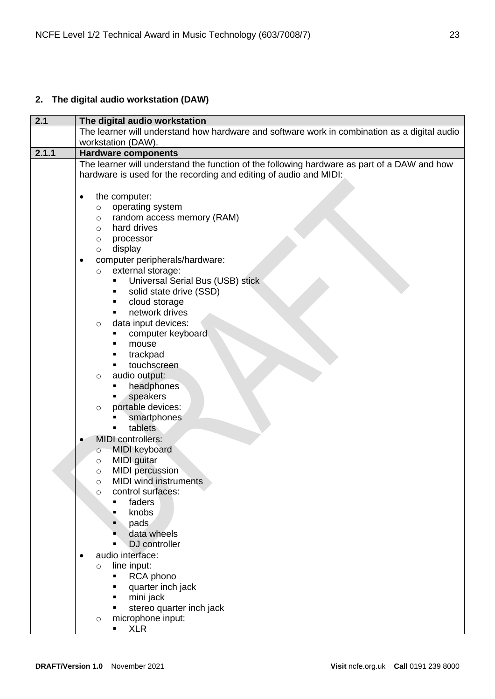# <span id="page-22-0"></span>**2. The digital audio workstation (DAW)**

| 2.1   | The digital audio workstation                                                                                                                                                                                                                                                                                                                                                                                                                                                                                                                                                                                                                                                                                                                                                                                                                                                                                                                                                                                                              |
|-------|--------------------------------------------------------------------------------------------------------------------------------------------------------------------------------------------------------------------------------------------------------------------------------------------------------------------------------------------------------------------------------------------------------------------------------------------------------------------------------------------------------------------------------------------------------------------------------------------------------------------------------------------------------------------------------------------------------------------------------------------------------------------------------------------------------------------------------------------------------------------------------------------------------------------------------------------------------------------------------------------------------------------------------------------|
|       | The learner will understand how hardware and software work in combination as a digital audio                                                                                                                                                                                                                                                                                                                                                                                                                                                                                                                                                                                                                                                                                                                                                                                                                                                                                                                                               |
| 2.1.1 | workstation (DAW).                                                                                                                                                                                                                                                                                                                                                                                                                                                                                                                                                                                                                                                                                                                                                                                                                                                                                                                                                                                                                         |
|       | <b>Hardware components</b>                                                                                                                                                                                                                                                                                                                                                                                                                                                                                                                                                                                                                                                                                                                                                                                                                                                                                                                                                                                                                 |
|       | hardware is used for the recording and editing of audio and MIDI:                                                                                                                                                                                                                                                                                                                                                                                                                                                                                                                                                                                                                                                                                                                                                                                                                                                                                                                                                                          |
|       | The learner will understand the function of the following hardware as part of a DAW and how<br>the computer:<br>$\bullet$<br>operating system<br>$\circ$<br>random access memory (RAM)<br>O<br>hard drives<br>$\circ$<br>processor<br>O<br>display<br>O<br>computer peripherals/hardware:<br>$\bullet$<br>external storage:<br>$\circ$<br>Universal Serial Bus (USB) stick<br>٠<br>solid state drive (SSD)<br>٠<br>cloud storage<br>٠<br>network drives<br>data input devices:<br>$\circ$<br>computer keyboard<br>mouse<br>trackpad<br>touchscreen<br>audio output:<br>$\circ$<br>headphones<br>speakers<br>portable devices:<br>$\circ$<br>smartphones<br>tablets<br><b>MIDI</b> controllers:<br><b>MIDI</b> keyboard<br>$\circ$<br><b>MIDI</b> guitar<br>$\circ$<br><b>MIDI</b> percussion<br>$\circ$<br><b>MIDI</b> wind instruments<br>$\circ$<br>control surfaces:<br>$\circ$<br>faders<br>knobs<br>pads<br>data wheels<br>DJ controller<br>audio interface:<br>line input:<br>$\circ$<br>RCA phono<br>quarter inch jack<br>mini jack |
|       | stereo quarter inch jack<br>microphone input:<br>$\circ$                                                                                                                                                                                                                                                                                                                                                                                                                                                                                                                                                                                                                                                                                                                                                                                                                                                                                                                                                                                   |
|       | <b>XLR</b><br>٠                                                                                                                                                                                                                                                                                                                                                                                                                                                                                                                                                                                                                                                                                                                                                                                                                                                                                                                                                                                                                            |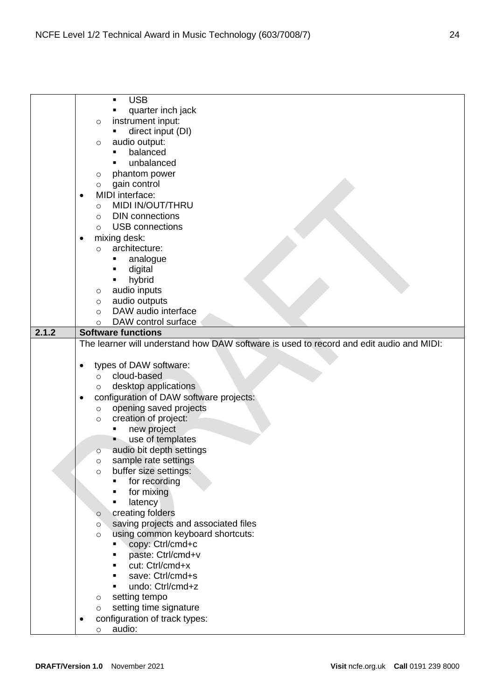|       | <b>USB</b><br>$\blacksquare$                                                            |
|-------|-----------------------------------------------------------------------------------------|
|       | quarter inch jack                                                                       |
|       | instrument input:<br>O                                                                  |
|       | direct input (DI)                                                                       |
|       | audio output:<br>$\circ$                                                                |
|       | balanced                                                                                |
|       | unbalanced                                                                              |
|       | phantom power<br>O                                                                      |
|       | gain control<br>O                                                                       |
|       | MIDI interface:                                                                         |
|       | ٠                                                                                       |
|       | MIDI IN/OUT/THRU<br>$\circ$                                                             |
|       | <b>DIN</b> connections<br>$\circ$                                                       |
|       | <b>USB</b> connections<br>$\circ$                                                       |
|       | mixing desk:<br>$\bullet$                                                               |
|       | architecture:<br>$\circ$                                                                |
|       | analogue<br>٠                                                                           |
|       | digital<br>٠                                                                            |
|       | hybrid                                                                                  |
|       | audio inputs<br>$\circ$                                                                 |
|       | audio outputs<br>$\circ$                                                                |
|       | DAW audio interface<br>$\circ$                                                          |
|       | DAW control surface<br>O                                                                |
| 2.1.2 | <b>Software functions</b>                                                               |
|       | The learner will understand how DAW software is used to record and edit audio and MIDI: |
|       |                                                                                         |
|       |                                                                                         |
|       | types of DAW software:                                                                  |
|       | cloud-based<br>$\circ$                                                                  |
|       | desktop applications<br>O                                                               |
|       | configuration of DAW software projects:<br>$\bullet$                                    |
|       | opening saved projects<br>$\circ$                                                       |
|       | creation of project:<br>$\circ$                                                         |
|       | new project<br>٠                                                                        |
|       | use of templates                                                                        |
|       | audio bit depth settings<br>$\circ$                                                     |
|       | sample rate settings<br>O                                                               |
|       | buffer size settings:<br>$\circ$                                                        |
|       | for recording                                                                           |
|       | for mixing                                                                              |
|       | latency                                                                                 |
|       | creating folders<br>$\circ$                                                             |
|       | saving projects and associated files<br>$\circ$                                         |
|       | using common keyboard shortcuts:<br>$\circ$                                             |
|       | copy: Ctrl/cmd+c<br>٠                                                                   |
|       | paste: Ctrl/cmd+v                                                                       |
|       | cut: Ctrl/cmd+x                                                                         |
|       | save: Ctrl/cmd+s                                                                        |
|       | undo: Ctrl/cmd+z                                                                        |
|       |                                                                                         |
|       | setting tempo<br>$\circ$                                                                |
|       | setting time signature<br>$\circ$                                                       |
|       |                                                                                         |
|       | configuration of track types:<br>audio:                                                 |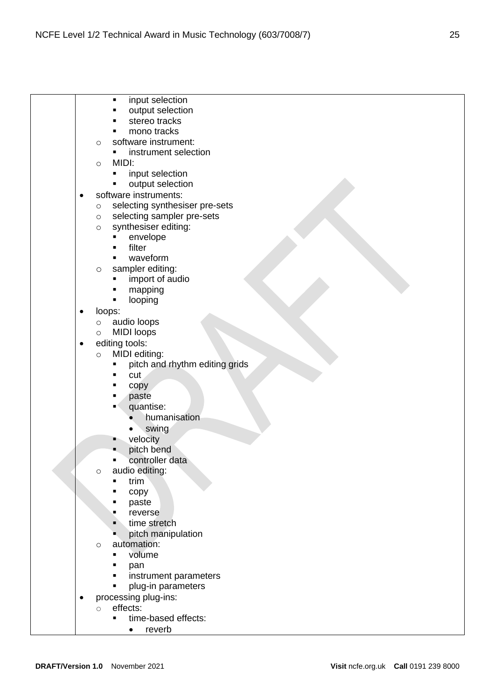|           | input selection<br>$\blacksquare$                          |
|-----------|------------------------------------------------------------|
|           | output selection                                           |
|           | stereo tracks                                              |
|           | mono tracks                                                |
|           | software instrument:<br>$\circ$                            |
|           | instrument selection                                       |
|           | MIDI:<br>$\circ$                                           |
|           | input selection                                            |
|           | output selection                                           |
| $\bullet$ | software instruments:                                      |
|           | selecting synthesiser pre-sets<br>$\circ$                  |
|           | selecting sampler pre-sets<br>$\circ$                      |
|           | synthesiser editing:<br>$\circ$                            |
|           | envelope                                                   |
|           | filter                                                     |
|           | waveform                                                   |
|           | sampler editing:<br>$\circ$                                |
|           | import of audio                                            |
|           | mapping                                                    |
|           | looping                                                    |
| $\bullet$ | loops:                                                     |
|           | audio loops<br>$\circ$                                     |
|           | <b>MIDI</b> loops<br>$\circ$                               |
| $\bullet$ | editing tools:                                             |
|           | MIDI editing:<br>$\circ$<br>pitch and rhythm editing grids |
|           | cut                                                        |
|           | copy                                                       |
|           | paste                                                      |
|           | quantise:                                                  |
|           | humanisation                                               |
|           | swing                                                      |
|           | velocity                                                   |
|           | pitch bend                                                 |
|           | controller data                                            |
|           | audio editing:<br>$\circ$                                  |
|           | trim                                                       |
|           | copy                                                       |
|           | paste                                                      |
|           | reverse                                                    |
|           | time stretch                                               |
|           | pitch manipulation                                         |
|           | automation:<br>$\circ$                                     |
|           | volume                                                     |
|           | pan                                                        |
|           | instrument parameters                                      |
|           | plug-in parameters                                         |
| ٠         | processing plug-ins:                                       |
|           | effects:<br>$\bigcirc$                                     |

- time-based effects:
	- reverb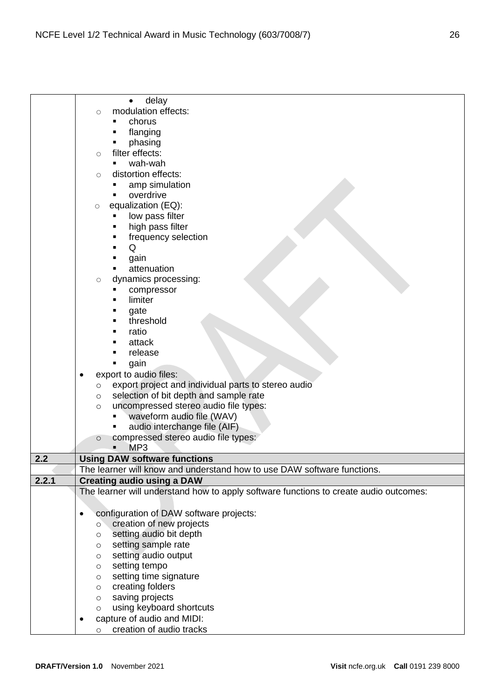|       | delay<br>$\bullet$                                                                    |
|-------|---------------------------------------------------------------------------------------|
|       | modulation effects:<br>$\circlearrowright$                                            |
|       | chorus                                                                                |
|       | flanging                                                                              |
|       | phasing                                                                               |
|       | filter effects:<br>$\circlearrowright$                                                |
|       | wah-wah                                                                               |
|       | distortion effects:<br>$\bigcirc$                                                     |
|       | amp simulation                                                                        |
|       | overdrive                                                                             |
|       | equalization (EQ):<br>$\circlearrowright$                                             |
|       | low pass filter                                                                       |
|       | high pass filter                                                                      |
|       | frequency selection                                                                   |
|       | Q                                                                                     |
|       | gain                                                                                  |
|       | attenuation                                                                           |
|       | dynamics processing:<br>$\bigcirc$                                                    |
|       | compressor                                                                            |
|       | limiter                                                                               |
|       | gate                                                                                  |
|       | threshold                                                                             |
|       | ratio                                                                                 |
|       | attack                                                                                |
|       | release                                                                               |
|       | gain                                                                                  |
|       | export to audio files:                                                                |
|       | export project and individual parts to stereo audio<br>$\circ$                        |
|       | selection of bit depth and sample rate<br>$\circ$                                     |
|       | uncompressed stereo audio file types:<br>$\circ$                                      |
|       | waveform audio file (WAV)                                                             |
|       | audio interchange file (AIF)                                                          |
|       | compressed stereo audio file types:<br>$\circ$                                        |
|       | MP <sub>3</sub>                                                                       |
| 2.2   | <b>Using DAW software functions</b>                                                   |
|       | The learner will know and understand how to use DAW software functions.               |
| 2.2.1 | <b>Creating audio using a DAW</b>                                                     |
|       | The learner will understand how to apply software functions to create audio outcomes: |
|       |                                                                                       |
|       | configuration of DAW software projects:<br>$\bullet$                                  |
|       | creation of new projects<br>$\circ$                                                   |
|       | setting audio bit depth<br>$\circ$                                                    |
|       | setting sample rate<br>$\circ$                                                        |
|       | setting audio output<br>$\circ$<br>setting tempo                                      |
|       | $\circ$<br>setting time signature<br>$\circ$                                          |
|       | creating folders<br>$\circ$                                                           |
|       | saving projects<br>$\circ$                                                            |
|       | using keyboard shortcuts<br>$\circ$                                                   |
|       | capture of audio and MIDI:                                                            |
|       | creation of audio tracks<br>$\circ$                                                   |
|       |                                                                                       |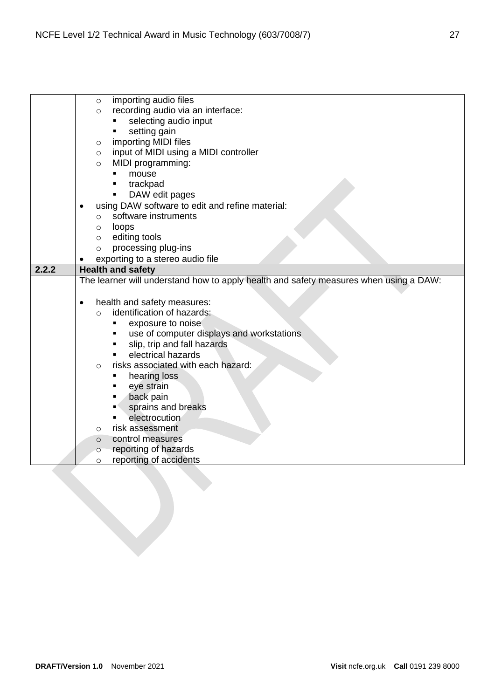|       | importing audio files<br>$\circ$                                                      |
|-------|---------------------------------------------------------------------------------------|
|       | recording audio via an interface:<br>$\circ$                                          |
|       | selecting audio input                                                                 |
|       | setting gain                                                                          |
|       | importing MIDI files<br>$\circ$                                                       |
|       | input of MIDI using a MIDI controller<br>$\circ$                                      |
|       | MIDI programming:<br>$\circ$                                                          |
|       | mouse                                                                                 |
|       | trackpad                                                                              |
|       | DAW edit pages<br>٠                                                                   |
|       | using DAW software to edit and refine material:                                       |
|       | software instruments<br>$\circ$                                                       |
|       | loops<br>$\circ$                                                                      |
|       | editing tools<br>$\circ$                                                              |
|       | processing plug-ins<br>$\circ$                                                        |
|       | exporting to a stereo audio file                                                      |
| 2.2.2 | <b>Health and safety</b>                                                              |
|       | The learner will understand how to apply health and safety measures when using a DAW: |
|       |                                                                                       |
|       |                                                                                       |
|       | health and safety measures:<br>$\bullet$                                              |
|       | identification of hazards:<br>$\Omega$                                                |
|       | exposure to noise<br>$\blacksquare$                                                   |
|       | use of computer displays and workstations<br>٠                                        |
|       | slip, trip and fall hazards<br>٠                                                      |
|       | electrical hazards                                                                    |
|       | risks associated with each hazard:<br>$\circ$                                         |
|       | hearing loss<br>٠                                                                     |
|       | eye strain<br>п                                                                       |
|       | back pain                                                                             |
|       | sprains and breaks                                                                    |
|       | electrocution                                                                         |
|       | risk assessment<br>$\circ$                                                            |
|       | control measures<br>$\circ$                                                           |
|       | reporting of hazards<br>$\circ$                                                       |
|       | reporting of accidents<br>$\circ$                                                     |
|       |                                                                                       |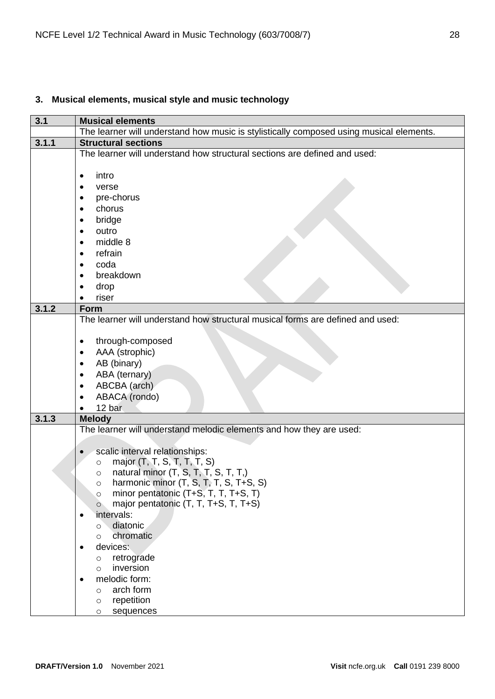# <span id="page-27-0"></span>**3. Musical elements, musical style and music technology**

| 3.1   | <b>Musical elements</b>                                                                 |
|-------|-----------------------------------------------------------------------------------------|
|       | The learner will understand how music is stylistically composed using musical elements. |
| 3.1.1 | <b>Structural sections</b>                                                              |
|       | The learner will understand how structural sections are defined and used:               |
|       |                                                                                         |
|       | intro<br>$\bullet$                                                                      |
|       | verse                                                                                   |
|       | pre-chorus                                                                              |
|       | chorus                                                                                  |
|       | bridge                                                                                  |
|       | outro                                                                                   |
|       | middle 8<br>$\bullet$                                                                   |
|       | refrain                                                                                 |
|       | $\bullet$<br>coda                                                                       |
|       | $\bullet$                                                                               |
|       | breakdown                                                                               |
|       | drop                                                                                    |
|       | riser                                                                                   |
| 3.1.2 | <b>Form</b>                                                                             |
|       | The learner will understand how structural musical forms are defined and used:          |
|       |                                                                                         |
|       | through-composed                                                                        |
|       | AAA (strophic)<br>$\bullet$                                                             |
|       | AB (binary)<br>٠                                                                        |
|       | ABA (ternary)                                                                           |
|       | ABCBA (arch)                                                                            |
|       | ABACA (rondo)                                                                           |
|       | 12 bar                                                                                  |
| 3.1.3 | <b>Melody</b>                                                                           |
|       | The learner will understand melodic elements and how they are used:                     |
|       |                                                                                         |
|       | scalic interval relationships:                                                          |
|       | major (T, T, S, T, T, T, S)<br>$\circ$                                                  |
|       | natural minor (T, S, T, T, S, T, T,)<br>$\circ$                                         |
|       | harmonic minor (T, S, T, T, S, T+S, S)<br>O                                             |
|       | minor pentatonic (T+S, T, T, T+S, T)<br>$\circ$                                         |
|       | major pentatonic (T, T, T+S, T, T+S)<br>$\circ$                                         |
|       | intervals:                                                                              |
|       | diatonic<br>$\circ$                                                                     |
|       | chromatic<br>$\circ$                                                                    |
|       | devices:                                                                                |
|       | retrograde<br>$\circ$                                                                   |
|       | inversion<br>$\circ$                                                                    |
|       | melodic form:                                                                           |
|       | arch form<br>$\circ$                                                                    |
|       | repetition<br>O                                                                         |
|       | sequences<br>O                                                                          |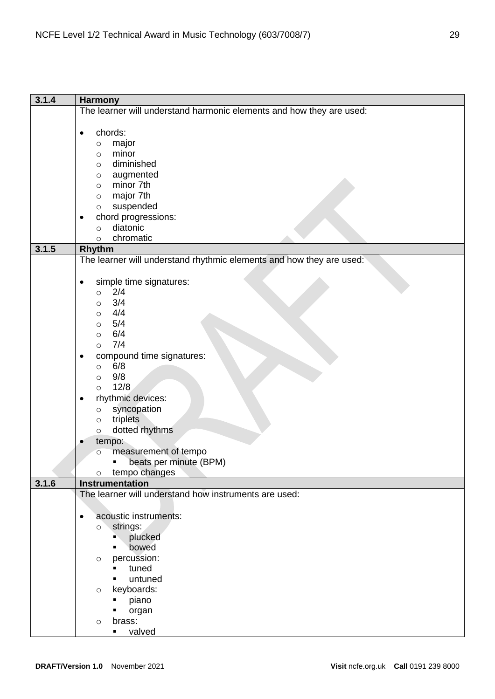| 3.1.4 | <b>Harmony</b>                                                       |
|-------|----------------------------------------------------------------------|
|       | The learner will understand harmonic elements and how they are used: |
|       |                                                                      |
|       | chords:<br>$\bullet$                                                 |
|       | major<br>$\circ$                                                     |
|       | minor<br>$\circ$                                                     |
|       | diminished<br>$\circ$                                                |
|       | augmented<br>$\circ$                                                 |
|       | minor 7th<br>$\circ$                                                 |
|       | major 7th<br>$\circ$                                                 |
|       | suspended<br>$\circ$                                                 |
|       | chord progressions:                                                  |
|       | diatonic<br>$\circ$                                                  |
|       | chromatic<br>$\circ$                                                 |
| 3.1.5 | Rhythm                                                               |
|       | The learner will understand rhythmic elements and how they are used: |
|       |                                                                      |
|       | simple time signatures:<br>٠                                         |
|       | 2/4<br>$\circ$                                                       |
|       | 3/4<br>O                                                             |
|       | 4/4<br>$\circ$                                                       |
|       | 5/4<br>$\circ$                                                       |
|       | 6/4<br>$\circ$                                                       |
|       | 7/4<br>$\circ$                                                       |
|       | compound time signatures:                                            |
|       | 6/8<br>$\circ$                                                       |
|       | 9/8<br>$\circ$                                                       |
|       | 12/8<br>$\circ$                                                      |
|       | rhythmic devices:<br>٠                                               |
|       | syncopation<br>$\circ$                                               |
|       | triplets<br>$\circ$                                                  |
|       | dotted rhythms<br>$\circ$                                            |
|       | tempo:                                                               |
|       | measurement of tempo<br>$\circ$                                      |
|       | beats per minute (BPM)<br>$\blacksquare$                             |
|       | tempo changes<br>$\circ$                                             |
| 3.1.6 | Instrumentation                                                      |
|       | The learner will understand how instruments are used:                |
|       |                                                                      |
|       | acoustic instruments:<br>$\bullet$                                   |
|       | strings:<br>$\circ$                                                  |
|       | plucked<br>D.                                                        |
|       | bowed<br>٠                                                           |
|       | percussion:<br>$\circ$                                               |
|       | tuned<br>٠                                                           |
|       | untuned<br>٠                                                         |
|       | keyboards:<br>$\circ$                                                |
|       | piano<br>п                                                           |
|       | organ                                                                |
|       | brass:<br>$\circ$                                                    |
|       | valved<br>٠                                                          |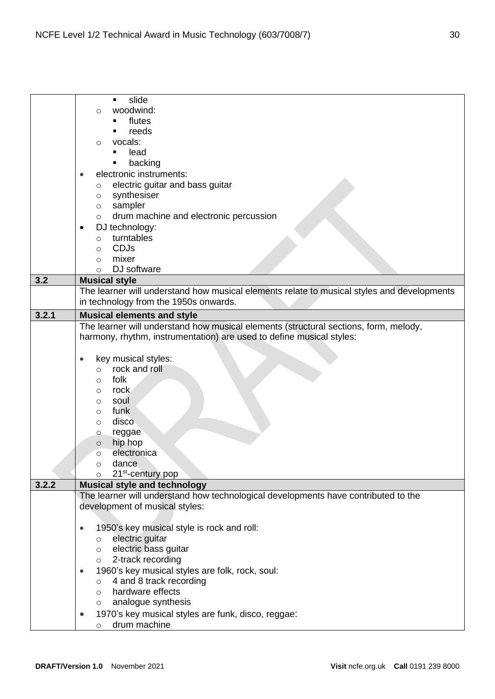|       | slide<br>$\blacksquare$                                                                    |
|-------|--------------------------------------------------------------------------------------------|
|       | woodwind:<br>O                                                                             |
|       | flutes                                                                                     |
|       | reeds                                                                                      |
|       | vocals:<br>$\circ$                                                                         |
|       | lead                                                                                       |
|       | backing<br>٠                                                                               |
|       | electronic instruments:                                                                    |
|       |                                                                                            |
|       | electric guitar and bass guitar<br>$\circ$                                                 |
|       | synthesiser<br>$\circ$                                                                     |
|       | sampler<br>$\circ$                                                                         |
|       | drum machine and electronic percussion<br>$\circ$                                          |
|       | DJ technology:                                                                             |
|       | turntables<br>$\circ$                                                                      |
|       | <b>CDJs</b><br>$\circ$                                                                     |
|       | mixer<br>$\circ$                                                                           |
|       | DJ software<br>$\circ$                                                                     |
| 3.2   | <b>Musical style</b>                                                                       |
|       | The learner will understand how musical elements relate to musical styles and developments |
|       | in technology from the 1950s onwards.                                                      |
| 3.2.1 | <b>Musical elements and style</b>                                                          |
|       | The learner will understand how musical elements (structural sections, form, melody,       |
|       | harmony, rhythm, instrumentation) are used to define musical styles:                       |
|       |                                                                                            |
|       | key musical styles:                                                                        |
|       | rock and roll<br>$\circ$                                                                   |
|       | folk<br>$\circ$                                                                            |
|       | rock<br>O                                                                                  |
|       | soul<br>$\circ$                                                                            |
|       | funk<br>$\circ$                                                                            |
|       | disco<br>$\circ$                                                                           |
|       | reggae<br>$\circ$                                                                          |
|       | hip hop<br>$\circ$                                                                         |
|       | electronica<br>$\circ$                                                                     |
|       | dance                                                                                      |
|       | 21 <sup>st</sup> -century pop<br>$\circ$                                                   |
| 3.2.2 | <b>Musical style and technology</b>                                                        |
|       | The learner will understand how technological developments have contributed to the         |
|       | development of musical styles:                                                             |
|       |                                                                                            |
|       | 1950's key musical style is rock and roll:<br>$\bullet$                                    |
|       | electric guitar<br>$\circ$                                                                 |
|       | electric bass guitar<br>$\circ$                                                            |
|       | o 2-track recording                                                                        |
|       | 1960's key musical styles are folk, rock, soul:                                            |
|       | 4 and 8 track recording<br>$\circ$                                                         |
|       | hardware effects<br>$\circ$                                                                |
|       | analogue synthesis<br>$\circ$                                                              |
|       | 1970's key musical styles are funk, disco, reggae:<br>$\bullet$                            |
|       | drum machine<br>$\circ$                                                                    |
|       |                                                                                            |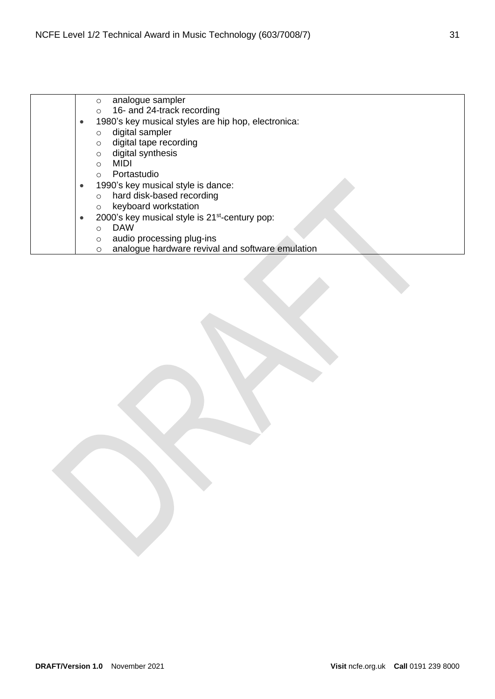- o analogue sampler o 16- and 24-track recording • 1980's key musical styles are hip hop, electronica: o digital sampler o digital tape recording o digital synthesis o MIDI o Portastudio • 1990's key musical style is dance: o hard disk-based recording o keyboard workstation
	- 2000's key musical style is 21<sup>st</sup>-century pop:
		- o DAW
		- o audio processing plug-ins
		- o analogue hardware revival and software emulation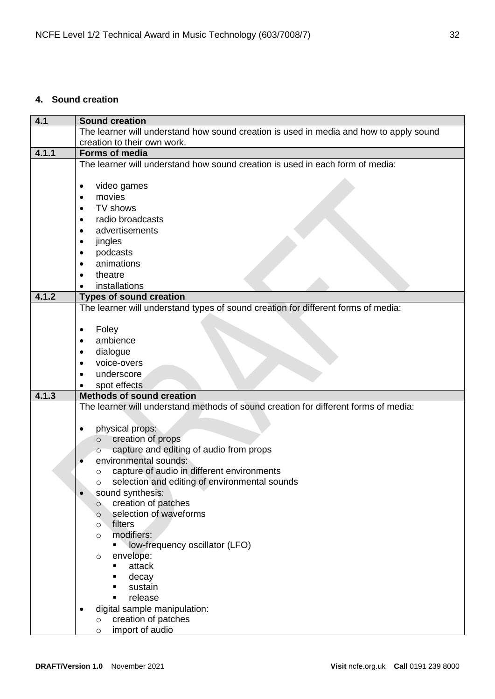## <span id="page-31-0"></span>**4. Sound creation**

| 4.1   | <b>Sound creation</b>                                                                  |
|-------|----------------------------------------------------------------------------------------|
|       | The learner will understand how sound creation is used in media and how to apply sound |
|       | creation to their own work.                                                            |
| 4.1.1 | Forms of media                                                                         |
|       | The learner will understand how sound creation is used in each form of media:          |
|       |                                                                                        |
|       | video games<br>٠                                                                       |
|       | movies                                                                                 |
|       | TV shows                                                                               |
|       | radio broadcasts                                                                       |
|       | advertisements                                                                         |
|       | jingles                                                                                |
|       | podcasts                                                                               |
|       | animations                                                                             |
|       | theatre                                                                                |
|       | installations                                                                          |
| 4.1.2 | <b>Types of sound creation</b>                                                         |
|       | The learner will understand types of sound creation for different forms of media:      |
|       |                                                                                        |
|       | Foley<br>$\bullet$                                                                     |
|       | ambience                                                                               |
|       | dialogue                                                                               |
|       | voice-overs                                                                            |
|       | underscore                                                                             |
|       | spot effects                                                                           |
| 4.1.3 | <b>Methods of sound creation</b>                                                       |
|       | The learner will understand methods of sound creation for different forms of media:    |
|       |                                                                                        |
|       | physical props:<br>٠                                                                   |
|       | creation of props<br>$\circ$<br>capture and editing of audio from props                |
|       | environmental sounds:                                                                  |
|       | capture of audio in different environments<br>$\circ$                                  |
|       | selection and editing of environmental sounds<br>O                                     |
|       | sound synthesis:<br>$\bullet$                                                          |
|       | creation of patches<br>$\circ$                                                         |
|       | selection of waveforms<br>$\circ$                                                      |
|       | filters<br>$\circ$                                                                     |
|       | modifiers:<br>$\circ$                                                                  |
|       | low-frequency oscillator (LFO)                                                         |
|       | envelope:<br>$\circ$                                                                   |
|       | attack<br>٠                                                                            |
|       | decay<br>٠                                                                             |
|       | sustain                                                                                |
|       | release<br>$\blacksquare$                                                              |
|       | digital sample manipulation:<br>$\bullet$                                              |
|       | creation of patches<br>$\circ$                                                         |
|       | import of audio<br>$\circ$                                                             |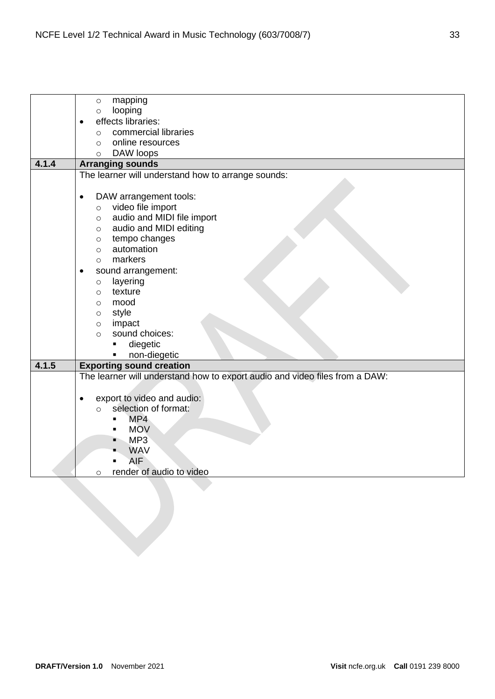|       | mapping<br>$\circ$                                                          |
|-------|-----------------------------------------------------------------------------|
|       | looping<br>$\circ$                                                          |
|       | effects libraries:<br>$\bullet$                                             |
|       | commercial libraries<br>$\circ$                                             |
|       | online resources<br>$\circ$                                                 |
|       | DAW loops<br>$\circ$                                                        |
| 4.1.4 | <b>Arranging sounds</b>                                                     |
|       | The learner will understand how to arrange sounds:                          |
|       |                                                                             |
|       | DAW arrangement tools:<br>$\bullet$                                         |
|       | video file import<br>$\circ$                                                |
|       | audio and MIDI file import<br>$\circ$                                       |
|       | audio and MIDI editing<br>$\circ$                                           |
|       | tempo changes<br>$\circ$                                                    |
|       | automation<br>$\circ$                                                       |
|       | markers<br>$\circ$                                                          |
|       | sound arrangement:                                                          |
|       | layering<br>$\circ$                                                         |
|       | texture<br>$\circ$                                                          |
|       | mood<br>$\circ$                                                             |
|       | style<br>$\circ$                                                            |
|       | impact<br>$\circ$                                                           |
|       | sound choices:<br>$\circ$                                                   |
|       | diegetic<br>٠                                                               |
|       | non-diegetic                                                                |
| 4.1.5 | <b>Exporting sound creation</b>                                             |
|       | The learner will understand how to export audio and video files from a DAW: |
|       |                                                                             |
|       | export to video and audio:<br>$\bullet$                                     |
|       | selection of format:<br>$\circ$                                             |
|       | MP4<br>$\blacksquare$                                                       |
|       | <b>MOV</b><br>$\blacksquare$                                                |
|       | MP3<br>٠                                                                    |
|       | <b>WAV</b>                                                                  |
|       | AIF<br>$\blacksquare$                                                       |
|       | render of audio to video<br>O                                               |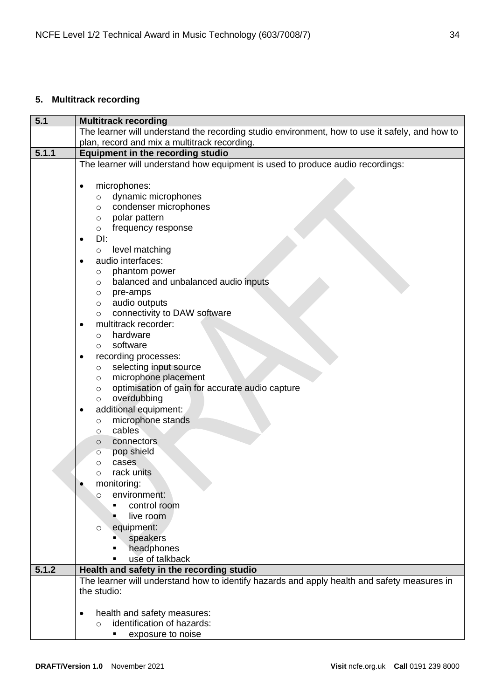# <span id="page-33-0"></span>**5. Multitrack recording**

| 5.1   | <b>Multitrack recording</b>                                                                    |  |  |
|-------|------------------------------------------------------------------------------------------------|--|--|
|       | The learner will understand the recording studio environment, how to use it safely, and how to |  |  |
|       | plan, record and mix a multitrack recording.                                                   |  |  |
| 5.1.1 | <b>Equipment in the recording studio</b>                                                       |  |  |
|       | The learner will understand how equipment is used to produce audio recordings:                 |  |  |
|       |                                                                                                |  |  |
|       | microphones:<br>$\bullet$                                                                      |  |  |
|       | dynamic microphones<br>$\circ$                                                                 |  |  |
|       | condenser microphones<br>$\circ$                                                               |  |  |
|       | polar pattern<br>$\circ$                                                                       |  |  |
|       | frequency response<br>$\circ$                                                                  |  |  |
|       | DI:                                                                                            |  |  |
|       | ٠<br>level matching                                                                            |  |  |
|       | $\circ$                                                                                        |  |  |
|       | audio interfaces:                                                                              |  |  |
|       | phantom power<br>O                                                                             |  |  |
|       | balanced and unbalanced audio inputs<br>O                                                      |  |  |
|       | pre-amps<br>O                                                                                  |  |  |
|       | audio outputs<br>$\circ$                                                                       |  |  |
|       | connectivity to DAW software<br>$\circ$                                                        |  |  |
|       | multitrack recorder:<br>٠                                                                      |  |  |
|       | hardware<br>$\circ$                                                                            |  |  |
|       | software<br>$\circ$                                                                            |  |  |
|       | recording processes:                                                                           |  |  |
|       | selecting input source<br>$\circ$                                                              |  |  |
|       | microphone placement<br>$\circ$                                                                |  |  |
|       | optimisation of gain for accurate audio capture<br>$\circ$                                     |  |  |
|       | overdubbing<br>$\circ$                                                                         |  |  |
|       | additional equipment:                                                                          |  |  |
|       | microphone stands<br>$\circ$                                                                   |  |  |
|       | cables<br>O                                                                                    |  |  |
|       | connectors<br>$\circ$                                                                          |  |  |
|       | pop shield<br>O                                                                                |  |  |
|       | cases<br>$\circ$                                                                               |  |  |
|       | rack units<br>O                                                                                |  |  |
|       | monitoring:                                                                                    |  |  |
|       | environment:<br>$\circ$                                                                        |  |  |
|       | control room                                                                                   |  |  |
|       | live room                                                                                      |  |  |
|       | equipment:<br>$\circ$                                                                          |  |  |
|       | speakers                                                                                       |  |  |
|       | headphones<br>٠                                                                                |  |  |
|       | use of talkback                                                                                |  |  |
| 5.1.2 | Health and safety in the recording studio                                                      |  |  |
|       | The learner will understand how to identify hazards and apply health and safety measures in    |  |  |
|       | the studio:                                                                                    |  |  |
|       |                                                                                                |  |  |
|       | health and safety measures:<br>$\bullet$                                                       |  |  |
|       | identification of hazards:<br>$\bigcirc$                                                       |  |  |
|       | exposure to noise                                                                              |  |  |
|       |                                                                                                |  |  |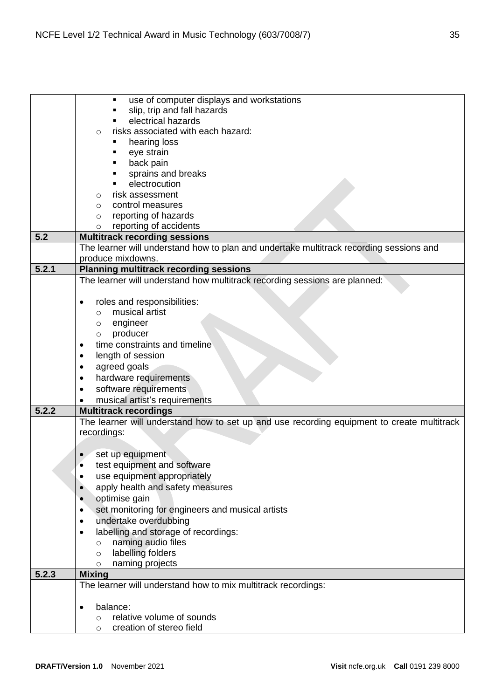|       | use of computer displays and workstations<br>$\blacksquare$                                                  |
|-------|--------------------------------------------------------------------------------------------------------------|
|       | slip, trip and fall hazards                                                                                  |
|       | electrical hazards                                                                                           |
|       | risks associated with each hazard:<br>O                                                                      |
|       | hearing loss                                                                                                 |
|       | eye strain                                                                                                   |
|       | back pain                                                                                                    |
|       | sprains and breaks                                                                                           |
|       | electrocution                                                                                                |
|       | risk assessment<br>$\circ$                                                                                   |
|       | control measures<br>$\circ$                                                                                  |
|       | reporting of hazards<br>$\circ$                                                                              |
|       | reporting of accidents<br>$\circ$                                                                            |
| 5.2   | <b>Multitrack recording sessions</b>                                                                         |
|       | The learner will understand how to plan and undertake multitrack recording sessions and<br>produce mixdowns. |
| 5.2.1 | <b>Planning multitrack recording sessions</b>                                                                |
|       | The learner will understand how multitrack recording sessions are planned:                                   |
|       |                                                                                                              |
|       | roles and responsibilities:                                                                                  |
|       | musical artist<br>$\circ$                                                                                    |
|       | engineer<br>$\circ$                                                                                          |
|       | producer<br>$\circ$                                                                                          |
|       | time constraints and timeline                                                                                |
|       | length of session                                                                                            |
|       | agreed goals                                                                                                 |
|       | hardware requirements<br>$\bullet$                                                                           |
|       | software requirements<br>$\bullet$                                                                           |
|       | musical artist's requirements                                                                                |
| 5.2.2 | <b>Multitrack recordings</b>                                                                                 |
|       | The learner will understand how to set up and use recording equipment to create multitrack                   |
|       | recordings:                                                                                                  |
|       |                                                                                                              |
|       | set up equipment                                                                                             |
|       | test equipment and software                                                                                  |
|       | use equipment appropriately                                                                                  |
|       | apply health and safety measures                                                                             |
|       | optimise gain<br>$\bullet$                                                                                   |
|       | set monitoring for engineers and musical artists                                                             |
|       | undertake overdubbing<br>٠                                                                                   |
|       | labelling and storage of recordings:<br>$\bullet$                                                            |
|       | naming audio files<br>$\circ$                                                                                |
|       | labelling folders<br>$\circ$                                                                                 |
|       | naming projects<br>$\circ$                                                                                   |
| 5.2.3 | <b>Mixing</b>                                                                                                |
|       | The learner will understand how to mix multitrack recordings:                                                |
|       |                                                                                                              |
|       | balance:<br>$\bullet$                                                                                        |
|       | relative volume of sounds<br>$\circ$                                                                         |
|       | creation of stereo field<br>$\circ$                                                                          |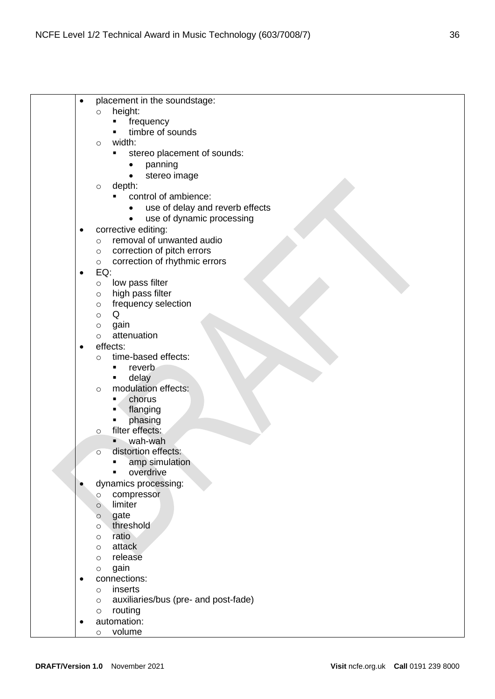| ٠         | placement in the soundstage:                    |
|-----------|-------------------------------------------------|
|           | height:<br>$\circ$                              |
|           | frequency                                       |
|           | timbre of sounds                                |
|           | width:<br>$\circ$                               |
|           | stereo placement of sounds:<br>٠                |
|           | panning                                         |
|           | stereo image                                    |
|           | depth:<br>$\circ$                               |
|           | control of ambience:                            |
|           | use of delay and reverb effects<br>٠            |
|           | use of dynamic processing<br>$\bullet$          |
| ٠         | corrective editing:                             |
|           | removal of unwanted audio<br>$\circ$            |
|           | correction of pitch errors                      |
|           | O<br>correction of rhythmic errors              |
|           | $\circ$<br>EQ:                                  |
| ٠         |                                                 |
|           | low pass filter<br>$\circ$<br>high pass filter  |
|           | $\circ$                                         |
|           | frequency selection<br>$\circ$<br>Q             |
|           | $\circ$                                         |
|           | gain<br>$\circ$<br>attenuation                  |
|           | $\circ$<br>effects:                             |
|           | time-based effects:                             |
|           | $\circ$                                         |
|           | reverb<br>٠                                     |
|           | delay<br>٠                                      |
|           | modulation effects:<br>$\circ$                  |
|           | chorus<br>٠                                     |
|           | flanging<br>٠                                   |
|           | phasing<br>filter effects:                      |
|           | $\circ$<br>wah-wah                              |
|           | distortion effects:                             |
|           | $\circ$                                         |
|           | amp simulation<br>overdrive                     |
|           |                                                 |
|           | dynamics processing:                            |
|           | compressor<br>$\circ$                           |
|           | limiter<br>$\circ$                              |
|           | gate<br>$\circ$<br>threshold                    |
|           | $\circ$<br>ratio                                |
|           | $\circ$                                         |
|           | attack<br>$\circ$                               |
|           | release<br>$\circ$                              |
|           | gain<br>$\circ$                                 |
| ٠         | connections:                                    |
|           | inserts<br>$\circ$                              |
|           | auxiliaries/bus (pre- and post-fade)<br>$\circ$ |
|           | routing<br>$\circ$                              |
| $\bullet$ | automation:                                     |
|           | volume<br>$\circ$                               |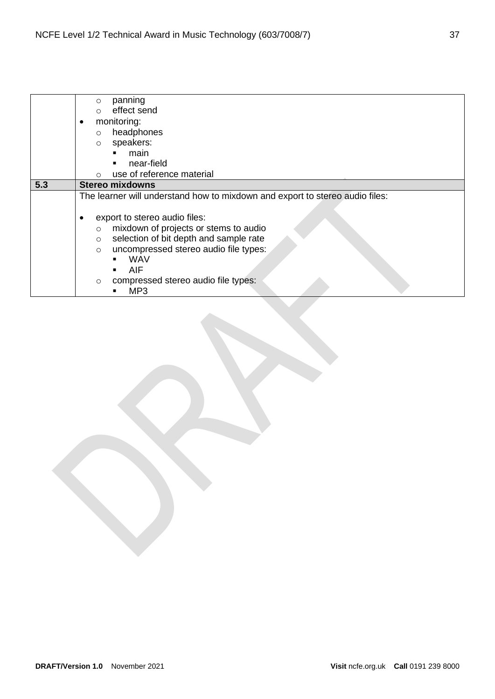|     | panning<br>$\circ$                                                           |
|-----|------------------------------------------------------------------------------|
|     | effect send<br>$\circ$                                                       |
|     |                                                                              |
|     | monitoring:                                                                  |
|     | headphones<br>$\circ$                                                        |
|     | speakers:<br>$\circ$                                                         |
|     | main<br>٠                                                                    |
|     | near-field<br>٠                                                              |
|     | use of reference material<br>$\Omega$                                        |
| 5.3 | <b>Stereo mixdowns</b>                                                       |
|     | The learner will understand how to mixdown and export to stereo audio files: |
|     |                                                                              |
|     | export to stereo audio files:                                                |
|     | mixdown of projects or stems to audio<br>$\circ$                             |
|     | selection of bit depth and sample rate<br>$\circ$                            |
|     | uncompressed stereo audio file types:                                        |
|     | $\circ$                                                                      |
|     | <b>WAV</b><br>٠                                                              |
|     | <b>AIF</b>                                                                   |
|     | compressed stereo audio file types:<br>$\circ$                               |
|     | MP <sub>3</sub>                                                              |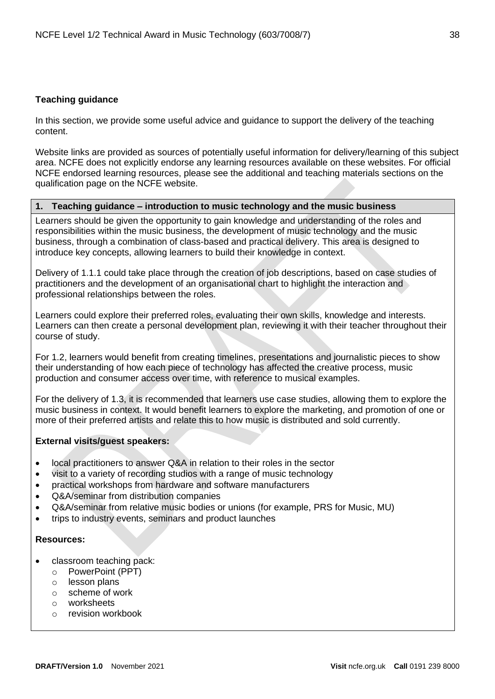## <span id="page-37-0"></span>**Teaching guidance**

In this section, we provide some useful advice and guidance to support the delivery of the teaching content.

Website links are provided as sources of potentially useful information for delivery/learning of this subject area. NCFE does not explicitly endorse any learning resources available on these websites. For official NCFE endorsed learning resources, please see the additional and teaching materials sections on the qualification page on the NCFE website.

## **1. Teaching guidance – introduction to music technology and the music business**

Learners should be given the opportunity to gain knowledge and understanding of the roles and responsibilities within the music business, the development of music technology and the music business, through a combination of class-based and practical delivery. This area is designed to introduce key concepts, allowing learners to build their knowledge in context.

Delivery of 1.1.1 could take place through the creation of job descriptions, based on case studies of practitioners and the development of an organisational chart to highlight the interaction and professional relationships between the roles.

Learners could explore their preferred roles, evaluating their own skills, knowledge and interests. Learners can then create a personal development plan, reviewing it with their teacher throughout their course of study.

For 1.2, learners would benefit from creating timelines, presentations and journalistic pieces to show their understanding of how each piece of technology has affected the creative process, music production and consumer access over time, with reference to musical examples.

For the delivery of 1.3, it is recommended that learners use case studies, allowing them to explore the music business in context. It would benefit learners to explore the marketing, and promotion of one or more of their preferred artists and relate this to how music is distributed and sold currently.

## **External visits/guest speakers:**

- local practitioners to answer Q&A in relation to their roles in the sector
- visit to a variety of recording studios with a range of music technology
- practical workshops from hardware and software manufacturers
- Q&A/seminar from distribution companies
- Q&A/seminar from relative music bodies or unions (for example, PRS for Music, MU)
- trips to industry events, seminars and product launches

## **Resources:**

- classroom teaching pack:
	- o PowerPoint (PPT)
	- o lesson plans
	- o scheme of work
	- o worksheets
	- o revision workbook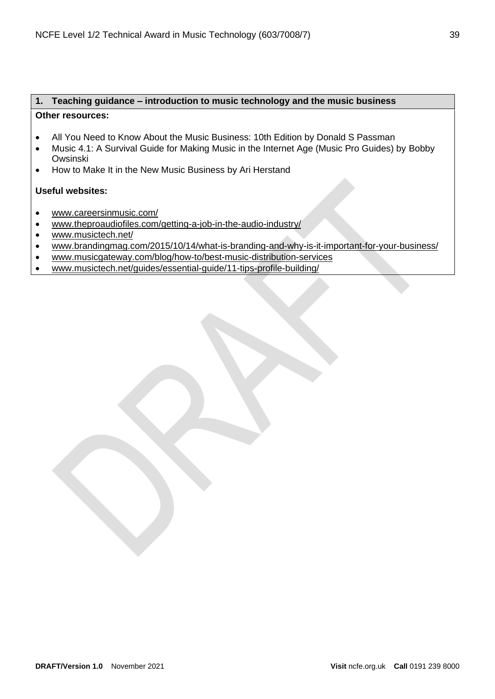## **1. Teaching guidance – introduction to music technology and the music business Other resources:**

- All You Need to Know About the Music Business: 10th Edition by Donald S Passman
- Music 4.1: A Survival Guide for Making Music in the Internet Age (Music Pro Guides) by Bobby Owsinski
- How to Make It in the New Music Business by Ari Herstand

- [www.careersinmusic.com/](https://www.careersinmusic.com/)
- [www.theproaudiofiles.com/getting-a-job-in-the-audio-industry/](https://theproaudiofiles.com/getting-a-job-in-the-audio-industry/)
- [www.musictech.net/](https://www.musictech.net/)
- [www.brandingmag.com/2015/10/14/what-is-branding-and-why-is-it-important-for-your-business/](http://www.brandingmag.com/2015/10/14/what-is-branding-and-why-is-it-important-for-your-business/)
- [www.musicgateway.com/blog/how-to/best-music-distribution-services](http://www.musicgateway.com/blog/how-to/best-music-distribution-services)
- [www.musictech.net/guides/essential-guide/11-tips-profile-building/](http://www.musictech.net/guides/essential-guide/11-tips-profile-building/)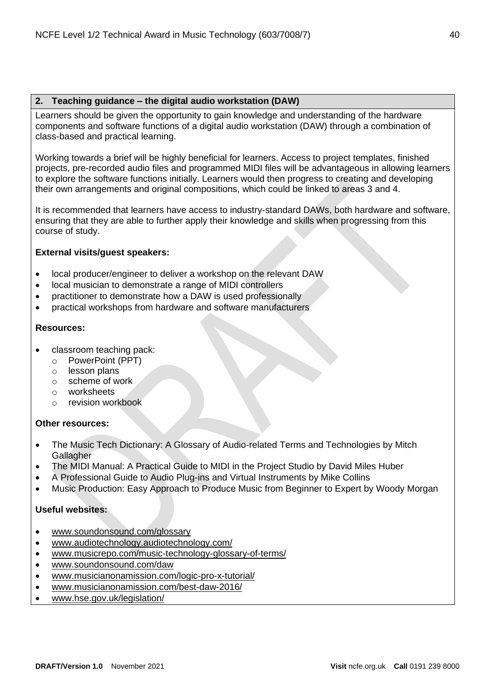## **2. Teaching guidance – the digital audio workstation (DAW)**

Learners should be given the opportunity to gain knowledge and understanding of the hardware components and software functions of a digital audio workstation (DAW) through a combination of class-based and practical learning.

Working towards a brief will be highly beneficial for learners. Access to project templates, finished projects, pre-recorded audio files and programmed MIDI files will be advantageous in allowing learners to explore the software functions initially. Learners would then progress to creating and developing their own arrangements and original compositions, which could be linked to areas 3 and 4.

It is recommended that learners have access to industry-standard DAWs, both hardware and software, ensuring that they are able to further apply their knowledge and skills when progressing from this course of study.

## **External visits/guest speakers:**

- local producer/engineer to deliver a workshop on the relevant DAW
- local musician to demonstrate a range of MIDI controllers
- practitioner to demonstrate how a DAW is used professionally
- practical workshops from hardware and software manufacturers

## **Resources:**

- classroom teaching pack:
	- o PowerPoint (PPT)
	- o lesson plans
	- o scheme of work
	- o worksheets
	- o revision workbook

## **Other resources:**

- The Music Tech Dictionary: A Glossary of Audio-related Terms and Technologies by Mitch **Gallagher**
- The MIDI Manual: A Practical Guide to MIDI in the Project Studio by David Miles Huber
- A Professional Guide to Audio Plug-ins and Virtual Instruments by Mike Collins
- Music Production: Easy Approach to Produce Music from Beginner to Expert by Woody Morgan

- [www.soundonsound.com/glossary](http://www.soundonsound.com/glossary)
- [www.audiotechnology.audiotechnology.com/](http://www.audiotechnology.audiotechnology.com/)
- [www.musicrepo.com/music-technology-glossary-of-terms/](http://www.musicrepo.com/music-technology-glossary-of-terms/)
- [www.soundonsound.com/daw](http://www.soundonsound.com/daw)
- [www.musicianonamission.com/logic-pro-x-tutorial/](http://www.musicianonamission.com/logic-pro-x-tutorial/)
- [www.musicianonamission.com/best-daw-2016/](http://www.musicianonamission.com/best-daw-2016/)
- [www.hse.gov.uk/legislation/](http://www.hse.gov.uk/legislation/)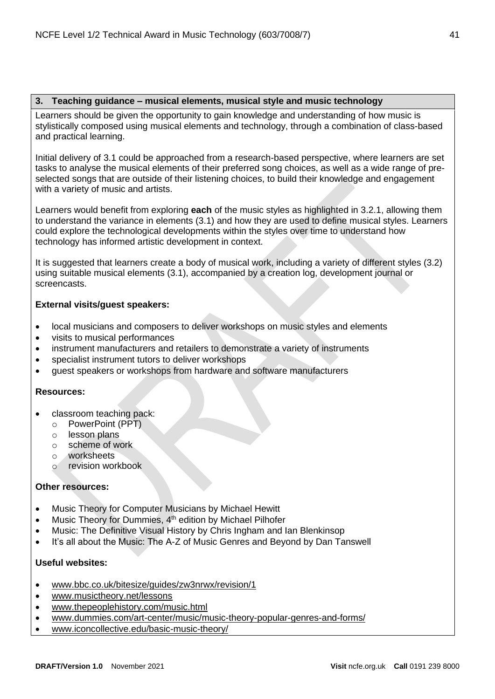## **3. Teaching guidance – musical elements, musical style and music technology**

Learners should be given the opportunity to gain knowledge and understanding of how music is stylistically composed using musical elements and technology, through a combination of class-based and practical learning.

Initial delivery of 3.1 could be approached from a research-based perspective, where learners are set tasks to analyse the musical elements of their preferred song choices, as well as a wide range of preselected songs that are outside of their listening choices, to build their knowledge and engagement with a variety of music and artists.

Learners would benefit from exploring **each** of the music styles as highlighted in 3.2.1, allowing them to understand the variance in elements (3.1) and how they are used to define musical styles. Learners could explore the technological developments within the styles over time to understand how technology has informed artistic development in context.

It is suggested that learners create a body of musical work, including a variety of different styles (3.2) using suitable musical elements (3.1), accompanied by a creation log, development journal or screencasts.

## **External visits/guest speakers:**

- local musicians and composers to deliver workshops on music styles and elements
- visits to musical performances
- instrument manufacturers and retailers to demonstrate a variety of instruments
- specialist instrument tutors to deliver workshops
- guest speakers or workshops from hardware and software manufacturers

## **Resources:**

- classroom teaching pack:
	- o PowerPoint (PPT)
	- o lesson plans
	- o scheme of work
	- o worksheets
	- o revision workbook

## **Other resources:**

- Music Theory for Computer Musicians by Michael Hewitt
- Music Theory for Dummies, 4<sup>th</sup> edition by Michael Pilhofer
- Music: The Definitive Visual History by Chris Ingham and Ian Blenkinsop
- It's all about the Music: The A-Z of Music Genres and Beyond by Dan Tanswell

- [www.bbc.co.uk/bitesize/guides/zw3nrwx/revision/1](http://www.bbc.co.uk/bitesize/guides/zw3nrwx/revision/1)
- [www.musictheory.net/lessons](http://www.musictheory.net/lessons)
- [www.thepeoplehistory.com/music.html](http://www.thepeoplehistory.com/music.html)
- [www.dummies.com/art-center/music/music-theory-popular-genres-and-forms/](http://www.dummies.com/art-center/music/music-theory-popular-genres-and-forms/)
- [www.iconcollective.edu/basic-music-theory/](http://www.iconcollective.edu/basic-music-theory/)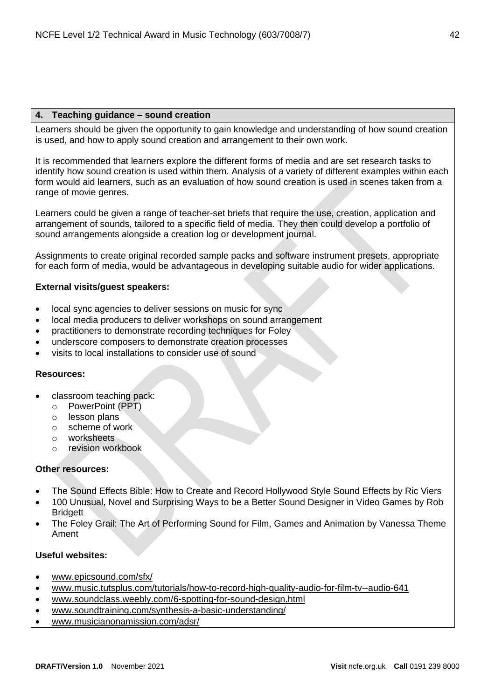## **4. Teaching guidance – sound creation**

Learners should be given the opportunity to gain knowledge and understanding of how sound creation is used, and how to apply sound creation and arrangement to their own work.

It is recommended that learners explore the different forms of media and are set research tasks to identify how sound creation is used within them. Analysis of a variety of different examples within each form would aid learners, such as an evaluation of how sound creation is used in scenes taken from a range of movie genres.

Learners could be given a range of teacher-set briefs that require the use, creation, application and arrangement of sounds, tailored to a specific field of media. They then could develop a portfolio of sound arrangements alongside a creation log or development journal.

Assignments to create original recorded sample packs and software instrument presets, appropriate for each form of media, would be advantageous in developing suitable audio for wider applications.

## **External visits/guest speakers:**

- local sync agencies to deliver sessions on music for sync
- local media producers to deliver workshops on sound arrangement
- practitioners to demonstrate recording techniques for Foley
- underscore composers to demonstrate creation processes
- visits to local installations to consider use of sound

#### **Resources:**

- classroom teaching pack:
	- o PowerPoint (PPT)
	- o lesson plans
	- o scheme of work
	- o worksheets
	- o revision workbook

#### **Other resources:**

- The Sound Effects Bible: How to Create and Record Hollywood Style Sound Effects by Ric Viers
- 100 Unusual, Novel and Surprising Ways to be a Better Sound Designer in Video Games by Rob **Bridgett**
- The Foley Grail: The Art of Performing Sound for Film, Games and Animation by Vanessa Theme Ament

- [www.epicsound.com/sfx/](http://www.epicsound.com/sfx/)
- [www.music.tutsplus.com/tutorials/how-to-record-high-quality-audio-for-film-tv--audio-641](https://music.tutsplus.com/tutorials/how-to-record-high-quality-audio-for-film-tv--audio-641)
- [www.soundclass.weebly.com/6-spotting-for-sound-design.html](https://soundclass.weebly.com/6-spotting-for-sound-design.html)
- [www.soundtraining.com/synthesis-a-basic-understanding/](https://soundtraining.com/synthesis-a-basic-understanding/)
- [www.musicianonamission.com/adsr/](http://www.musicianonamission.com/adsr/)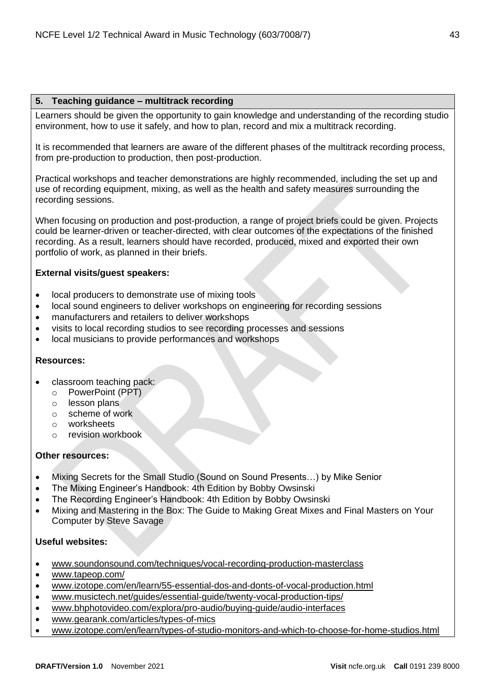## **5. Teaching guidance – multitrack recording**

Learners should be given the opportunity to gain knowledge and understanding of the recording studio environment, how to use it safely, and how to plan, record and mix a multitrack recording.

It is recommended that learners are aware of the different phases of the multitrack recording process, from pre-production to production, then post-production.

Practical workshops and teacher demonstrations are highly recommended, including the set up and use of recording equipment, mixing, as well as the health and safety measures surrounding the recording sessions.

When focusing on production and post-production, a range of project briefs could be given. Projects could be learner-driven or teacher-directed, with clear outcomes of the expectations of the finished recording. As a result, learners should have recorded, produced, mixed and exported their own portfolio of work, as planned in their briefs.

## **External visits/guest speakers:**

- local producers to demonstrate use of mixing tools
- local sound engineers to deliver workshops on engineering for recording sessions
- manufacturers and retailers to deliver workshops
- visits to local recording studios to see recording processes and sessions
- local musicians to provide performances and workshops

## **Resources:**

- classroom teaching pack:
	- o PowerPoint (PPT)
	- o lesson plans
	- o scheme of work
	- o worksheets
	- o revision workbook

## **Other resources:**

- Mixing Secrets for the Small Studio (Sound on Sound Presents…) by Mike Senior
- The Mixing Engineer's Handbook: 4th Edition by Bobby Owsinski
- The Recording Engineer's Handbook: 4th Edition by Bobby Owsinski
- Mixing and Mastering in the Box: The Guide to Making Great Mixes and Final Masters on Your Computer by Steve Savage

- [www.soundonsound.com/techniques/vocal-recording-production-masterclass](http://www.soundonsound.com/techniques/vocal-recording-production-masterclass)
- [www.tapeop.com/](https://tapeop.com/)
- [www.izotope.com/en/learn/55-essential-dos-and-donts-of-vocal-production.html](https://www.izotope.com/en/learn/55-essential-dos-and-donts-of-vocal-production.html)
- [www.musictech.net/guides/essential-guide/twenty-vocal-production-tips/](https://www.musictech.net/guides/essential-guide/twenty-vocal-production-tips/)
- [www.bhphotovideo.com/explora/pro-audio/buying-guide/audio-interfaces](https://www.bhphotovideo.com/explora/pro-audio/buying-guide/audio-interfaces)
- [www.gearank.com/articles/types-of-mics](https://www.gearank.com/articles/types-of-mics)
- [www.izotope.com/en/learn/types-of-studio-monitors-and-which-to-choose-for-home-studios.html](https://www.izotope.com/en/learn/types-of-studio-monitors-and-which-to-choose-for-home-studios.html)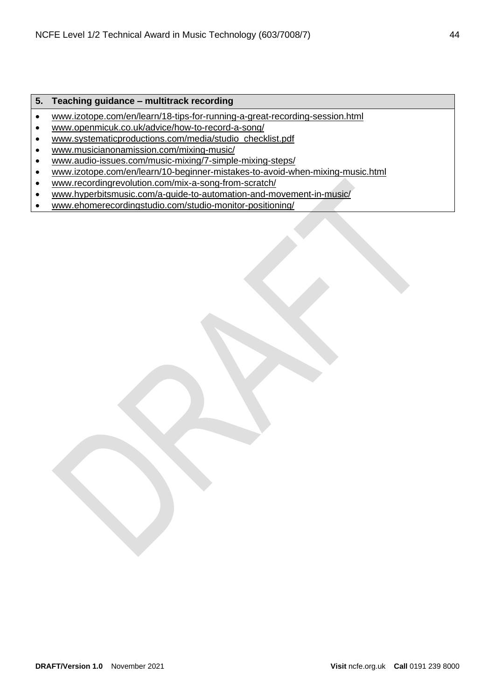## **5. Teaching guidance – multitrack recording**

- [www.izotope.com/en/learn/18-tips-for-running-a-great-recording-session.html](https://www.izotope.com/en/learn/18-tips-for-running-a-great-recording-session.html)
- [www.openmicuk.co.uk/advice/how-to-record-a-song/](https://www.openmicuk.co.uk/advice/how-to-record-a-song/)
- [www.systematicproductions.com/media/studio\\_checklist.pdf](https://www.systematicproductions.com/media/studio_checklist.pdf)
- [www.musicianonamission.com/mixing-music/](https://www.musicianonamission.com/mixing-music/)
- [www.audio-issues.com/music-mixing/7-simple-mixing-steps/](https://www.audio-issues.com/music-mixing/7-simple-mixing-steps/)
- [www.izotope.com/en/learn/10-beginner-mistakes-to-avoid-when-mixing-music.html](https://www.izotope.com/en/learn/10-beginner-mistakes-to-avoid-when-mixing-music.html)
- [www.recordingrevolution.com/mix-a-song-from-scratch/](https://www.recordingrevolution.com/mix-a-song-from-scratch/)
- [www.hyperbitsmusic.com/a-guide-to-automation-and-movement-in-music/](https://hyperbitsmusic.com/a-guide-to-automation-and-movement-in-music/)
- [www.ehomerecordingstudio.com/studio-monitor-positioning/](https://ehomerecordingstudio.com/studio-monitor-positioning/)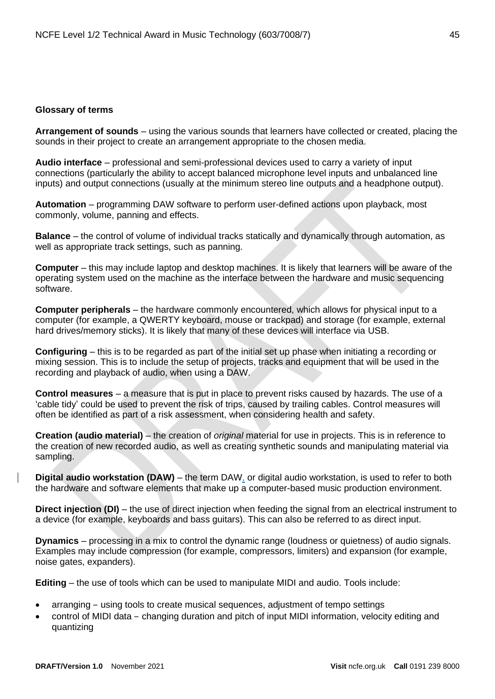#### <span id="page-44-0"></span>**Glossary of terms**

**Arrangement of sounds** – using the various sounds that learners have collected or created, placing the sounds in their project to create an arrangement appropriate to the chosen media.

**Audio interface** – professional and semi-professional devices used to carry a variety of input connections (particularly the ability to accept balanced microphone level inputs and unbalanced line inputs) and output connections (usually at the minimum stereo line outputs and a headphone output).

**Automation** – programming DAW software to perform user-defined actions upon playback, most commonly, volume, panning and effects.

**Balance** – the control of volume of individual tracks statically and dynamically through automation, as well as appropriate track settings, such as panning.

**Computer** – this may include laptop and desktop machines. It is likely that learners will be aware of the operating system used on the machine as the interface between the hardware and music sequencing software.

**Computer peripherals** – the hardware commonly encountered, which allows for physical input to a computer (for example, a QWERTY keyboard, mouse or trackpad) and storage (for example, external hard drives/memory sticks). It is likely that many of these devices will interface via USB.

**Configuring** – this is to be regarded as part of the initial set up phase when initiating a recording or mixing session. This is to include the setup of projects, tracks and equipment that will be used in the recording and playback of audio, when using a DAW.

**Control measures** – a measure that is put in place to prevent risks caused by hazards. The use of a 'cable tidy' could be used to prevent the risk of trips, caused by trailing cables. Control measures will often be identified as part of a risk assessment, when considering health and safety.

**Creation (audio material)** – the creation of *original* material for use in projects. This is in reference to the creation of new recorded audio, as well as creating synthetic sounds and manipulating material via sampling.

**Digital audio workstation (DAW)** – the term DAW, or digital audio workstation, is used to refer to both the hardware and software elements that make up a computer-based music production environment.

**Direct injection (DI)** – the use of direct injection when feeding the signal from an electrical instrument to a device (for example, keyboards and bass guitars). This can also be referred to as direct input.

**Dynamics** – processing in a mix to control the dynamic range (loudness or quietness) of audio signals. Examples may include compression (for example, compressors, limiters) and expansion (for example, noise gates, expanders).

**Editing** – the use of tools which can be used to manipulate MIDI and audio. Tools include:

- arranging using tools to create musical sequences, adjustment of tempo settings
- control of MIDI data changing duration and pitch of input MIDI information, velocity editing and quantizing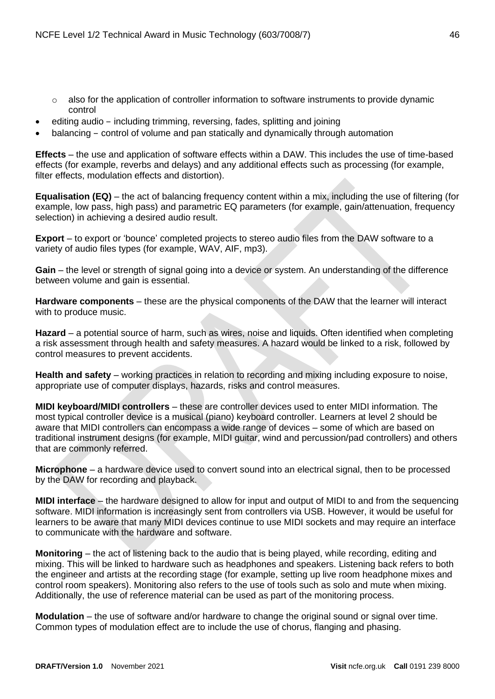- also for the application of controller information to software instruments to provide dynamic control
- editing audio including trimming, reversing, fades, splitting and joining
- balancing control of volume and pan statically and dynamically through automation

**Effects** – the use and application of software effects within a DAW. This includes the use of time-based effects (for example, reverbs and delays) and any additional effects such as processing (for example, filter effects, modulation effects and distortion).

**Equalisation (EQ)** – the act of balancing frequency content within a mix, including the use of filtering (for example, low pass, high pass) and parametric EQ parameters (for example, gain/attenuation, frequency selection) in achieving a desired audio result.

**Export** – to export or 'bounce' completed projects to stereo audio files from the DAW software to a variety of audio files types (for example, WAV, AIF, mp3).

Gain – the level or strength of signal going into a device or system. An understanding of the difference between volume and gain is essential.

**Hardware components** – these are the physical components of the DAW that the learner will interact with to produce music.

**Hazard** – a potential source of harm, such as wires, noise and liquids. Often identified when completing a risk assessment through health and safety measures. A hazard would be linked to a risk, followed by control measures to prevent accidents.

**Health and safety** – working practices in relation to recording and mixing including exposure to noise, appropriate use of computer displays, hazards, risks and control measures.

**MIDI keyboard/MIDI controllers** – these are controller devices used to enter MIDI information. The most typical controller device is a musical (piano) keyboard controller. Learners at level 2 should be aware that MIDI controllers can encompass a wide range of devices – some of which are based on traditional instrument designs (for example, MIDI guitar, wind and percussion/pad controllers) and others that are commonly referred.

**Microphone** – a hardware device used to convert sound into an electrical signal, then to be processed by the DAW for recording and playback.

**MIDI interface** – the hardware designed to allow for input and output of MIDI to and from the sequencing software. MIDI information is increasingly sent from controllers via USB. However, it would be useful for learners to be aware that many MIDI devices continue to use MIDI sockets and may require an interface to communicate with the hardware and software.

**Monitoring** – the act of listening back to the audio that is being played, while recording, editing and mixing. This will be linked to hardware such as headphones and speakers. Listening back refers to both the engineer and artists at the recording stage (for example, setting up live room headphone mixes and control room speakers). Monitoring also refers to the use of tools such as solo and mute when mixing. Additionally, the use of reference material can be used as part of the monitoring process.

**Modulation** – the use of software and/or hardware to change the original sound or signal over time. Common types of modulation effect are to include the use of chorus, flanging and phasing.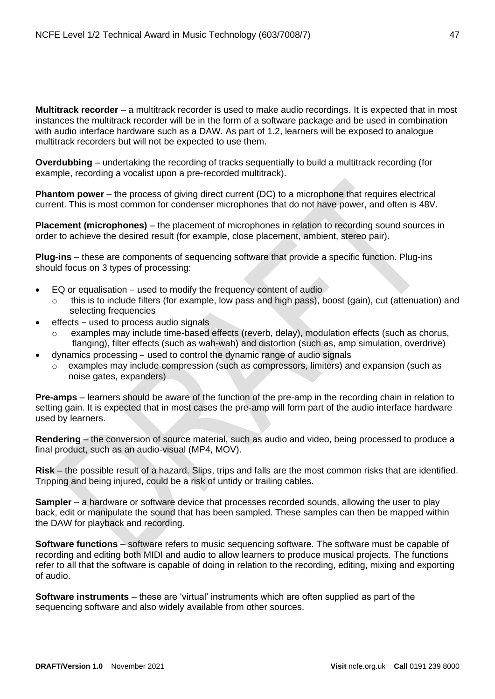**Multitrack recorder** – a multitrack recorder is used to make audio recordings. It is expected that in most instances the multitrack recorder will be in the form of a software package and be used in combination with audio interface hardware such as a DAW. As part of 1.2, learners will be exposed to analogue multitrack recorders but will not be expected to use them.

**Overdubbing** – undertaking the recording of tracks sequentially to build a multitrack recording (for example, recording a vocalist upon a pre-recorded multitrack).

**Phantom power** – the process of giving direct current (DC) to a microphone that requires electrical current. This is most common for condenser microphones that do not have power, and often is 48V.

**Placement (microphones)** – the placement of microphones in relation to recording sound sources in order to achieve the desired result (for example, close placement, ambient, stereo pair).

**Plug-ins** – these are components of sequencing software that provide a specific function. Plug-ins should focus on 3 types of processing:

- EQ or equalisation used to modify the frequency content of audio
	- $\circ$  this is to include filters (for example, low pass and high pass), boost (gain), cut (attenuation) and selecting frequencies
- effects used to process audio signals
	- examples may include time-based effects (reverb, delay), modulation effects (such as chorus, flanging), filter effects (such as wah-wah) and distortion (such as, amp simulation, overdrive)
- dynamics processing used to control the dynamic range of audio signals
	- $\circ$  examples may include compression (such as compressors, limiters) and expansion (such as noise gates, expanders)

**Pre-amps** – learners should be aware of the function of the pre-amp in the recording chain in relation to setting gain. It is expected that in most cases the pre-amp will form part of the audio interface hardware used by learners.

**Rendering** – the conversion of source material, such as audio and video, being processed to produce a final product, such as an audio-visual (MP4, MOV).

**Risk** – the possible result of a hazard. Slips, trips and falls are the most common risks that are identified. Tripping and being injured, could be a risk of untidy or trailing cables.

**Sampler** – a hardware or software device that processes recorded sounds, allowing the user to play back, edit or manipulate the sound that has been sampled. These samples can then be mapped within the DAW for playback and recording.

**Software functions** – software refers to music sequencing software. The software must be capable of recording and editing both MIDI and audio to allow learners to produce musical projects. The functions refer to all that the software is capable of doing in relation to the recording, editing, mixing and exporting of audio.

**Software instruments** – these are 'virtual' instruments which are often supplied as part of the sequencing software and also widely available from other sources.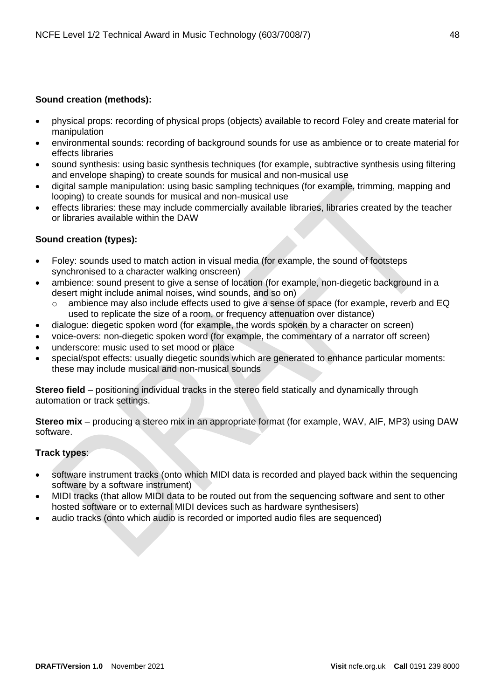## **Sound creation (methods):**

- physical props: recording of physical props (objects) available to record Foley and create material for manipulation
- environmental sounds: recording of background sounds for use as ambience or to create material for effects libraries
- sound synthesis: using basic synthesis techniques (for example, subtractive synthesis using filtering and envelope shaping) to create sounds for musical and non-musical use
- digital sample manipulation: using basic sampling techniques (for example, trimming, mapping and looping) to create sounds for musical and non-musical use
- effects libraries: these may include commercially available libraries, libraries created by the teacher or libraries available within the DAW

## **Sound creation (types):**

- Foley: sounds used to match action in visual media (for example, the sound of footsteps synchronised to a character walking onscreen)
- ambience: sound present to give a sense of location (for example, non-diegetic background in a desert might include animal noises, wind sounds, and so on)
	- $\circ$  ambience may also include effects used to give a sense of space (for example, reverb and EQ used to replicate the size of a room, or frequency attenuation over distance)
- dialogue: diegetic spoken word (for example, the words spoken by a character on screen)
- voice-overs: non-diegetic spoken word (for example, the commentary of a narrator off screen)
- underscore: music used to set mood or place
- special/spot effects: usually diegetic sounds which are generated to enhance particular moments: these may include musical and non-musical sounds

**Stereo field** – positioning individual tracks in the stereo field statically and dynamically through automation or track settings.

**Stereo mix** – producing a stereo mix in an appropriate format (for example, WAV, AIF, MP3) using DAW software.

## **Track types**:

- software instrument tracks (onto which MIDI data is recorded and played back within the sequencing software by a software instrument)
- MIDI tracks (that allow MIDI data to be routed out from the sequencing software and sent to other hosted software or to external MIDI devices such as hardware synthesisers)
- audio tracks (onto which audio is recorded or imported audio files are sequenced)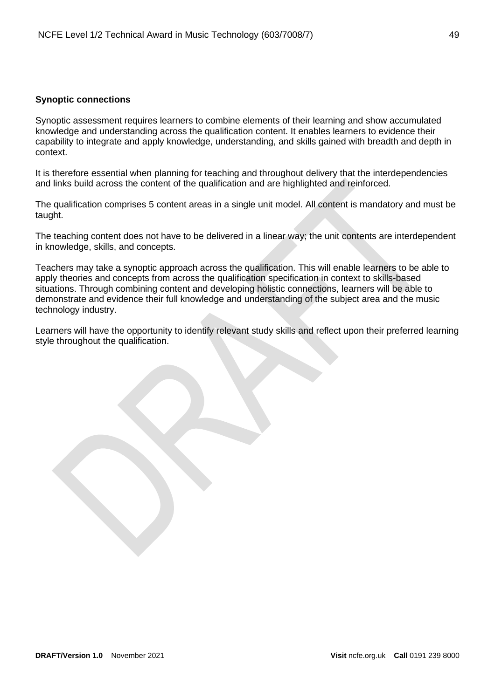## <span id="page-48-0"></span>**Synoptic connections**

Synoptic assessment requires learners to combine elements of their learning and show accumulated knowledge and understanding across the qualification content. It enables learners to evidence their capability to integrate and apply knowledge, understanding, and skills gained with breadth and depth in context.

It is therefore essential when planning for teaching and throughout delivery that the interdependencies and links build across the content of the qualification and are highlighted and reinforced.

The qualification comprises 5 content areas in a single unit model. All content is mandatory and must be taught.

The teaching content does not have to be delivered in a linear way; the unit contents are interdependent in knowledge, skills, and concepts.

Teachers may take a synoptic approach across the qualification. This will enable learners to be able to apply theories and concepts from across the qualification specification in context to skills-based situations. Through combining content and developing holistic connections, learners will be able to demonstrate and evidence their full knowledge and understanding of the subject area and the music technology industry.

Learners will have the opportunity to identify relevant study skills and reflect upon their preferred learning style throughout the qualification.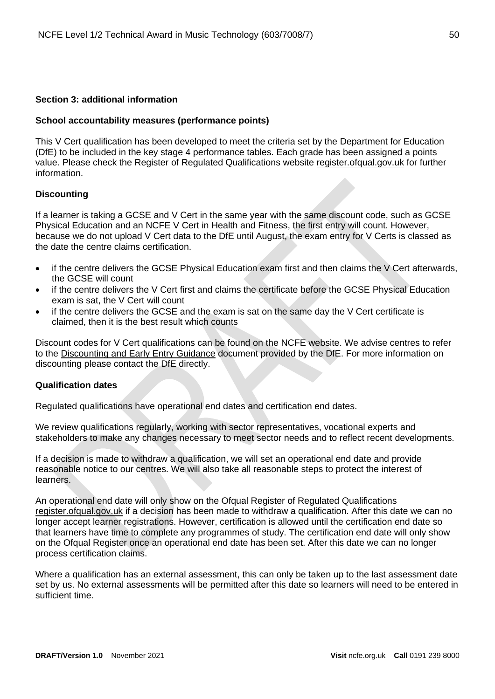## <span id="page-49-0"></span>**Section 3: additional information**

#### <span id="page-49-1"></span>**School accountability measures (performance points)**

This V Cert qualification has been developed to meet the criteria set by the Department for Education (DfE) to be included in the key stage 4 performance tables. Each grade has been assigned a points value. Please check the Register of Regulated Qualifications website [register.ofqual.gov.uk](http://register.ofqual.gov.uk/) for further information.

#### <span id="page-49-2"></span>**Discounting**

If a learner is taking a GCSE and V Cert in the same year with the same discount code, such as GCSE Physical Education and an NCFE V Cert in Health and Fitness, the first entry will count. However, because we do not upload V Cert data to the DfE until August, the exam entry for V Certs is classed as the date the centre claims certification.

- if the centre delivers the GCSE Physical Education exam first and then claims the V Cert afterwards, the GCSE will count
- if the centre delivers the V Cert first and claims the certificate before the GCSE Physical Education exam is sat, the V Cert will count
- if the centre delivers the GCSE and the exam is sat on the same day the V Cert certificate is claimed, then it is the best result which counts

Discount codes for V Cert qualifications can be found on the NCFE website. We advise centres to refer to the [Discounting and Early Entry Guidance](https://www.gov.uk/government/uploads/system/uploads/attachment_data/file/651207/Key_stage_4_discounting_and_early_entry_guidance_2017.pdf) document provided by the DfE. For more information on discounting please contact the DfE directly.

### <span id="page-49-3"></span>**Qualification dates**

Regulated qualifications have operational end dates and certification end dates.

We review qualifications regularly, working with sector representatives, vocational experts and stakeholders to make any changes necessary to meet sector needs and to reflect recent developments.

If a decision is made to withdraw a qualification, we will set an operational end date and provide reasonable notice to our centres. We will also take all reasonable steps to protect the interest of learners.

An operational end date will only show on the Ofqual Register of Regulated Qualifications [register.ofqual.gov.uk](https://register.ofqual.gov.uk/) if a decision has been made to withdraw a qualification. After this date we can no longer accept learner registrations. However, certification is allowed until the certification end date so that learners have time to complete any programmes of study. The certification end date will only show on the Ofqual Register once an operational end date has been set. After this date we can no longer process certification claims.

Where a qualification has an external assessment, this can only be taken up to the last assessment date set by us. No external assessments will be permitted after this date so learners will need to be entered in sufficient time.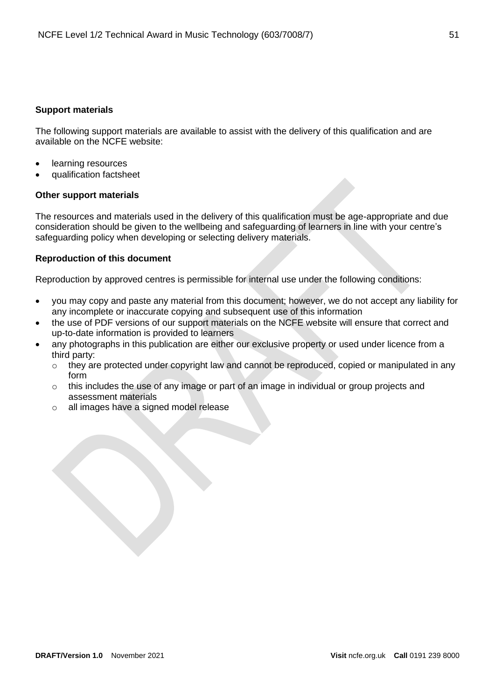## <span id="page-50-0"></span>**Support materials**

The following support materials are available to assist with the delivery of this qualification and are available on the NCFE website:

- learning resources
- qualification factsheet

## **Other support materials**

The resources and materials used in the delivery of this qualification must be age-appropriate and due consideration should be given to the wellbeing and safeguarding of learners in line with your centre's safeguarding policy when developing or selecting delivery materials.

## <span id="page-50-1"></span>**Reproduction of this document**

Reproduction by approved centres is permissible for internal use under the following conditions:

- you may copy and paste any material from this document; however, we do not accept any liability for any incomplete or inaccurate copying and subsequent use of this information
- the use of PDF versions of our support materials on the NCFE website will ensure that correct and up-to-date information is provided to learners
- any photographs in this publication are either our exclusive property or used under licence from a third party:
	- o they are protected under copyright law and cannot be reproduced, copied or manipulated in any form
	- $\circ$  this includes the use of any image or part of an image in individual or group projects and assessment materials
	- o all images have a signed model release